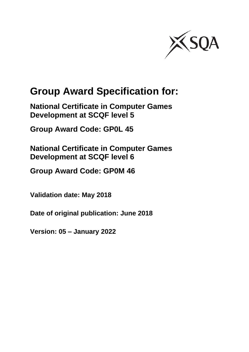

# **Group Award Specification for:**

**National Certificate in Computer Games Development at SCQF level 5**

**Group Award Code: GP0L 45**

**National Certificate in Computer Games Development at SCQF level 6**

**Group Award Code: GP0M 46**

**Validation date: May 2018**

**Date of original publication: June 2018**

**Version: 05 – January 2022**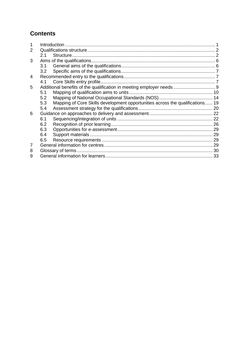## **Contents**

| 2 |                  |                                                                               |  |
|---|------------------|-------------------------------------------------------------------------------|--|
|   | 2.1              |                                                                               |  |
| 3 |                  |                                                                               |  |
|   | 3.1              |                                                                               |  |
|   | 3.2 <sub>2</sub> |                                                                               |  |
| 4 |                  |                                                                               |  |
|   | 4.1              |                                                                               |  |
| 5 |                  | Additional benefits of the qualification in meeting employer needs  9         |  |
|   | 5.1              |                                                                               |  |
|   | 5.2              |                                                                               |  |
|   | 5.3              | Mapping of Core Skills development opportunities across the qualifications 19 |  |
|   | 5.4              |                                                                               |  |
| 6 |                  |                                                                               |  |
|   | 6.1              |                                                                               |  |
|   | 6.2              |                                                                               |  |
|   | 6.3              |                                                                               |  |
|   | 6.4              |                                                                               |  |
|   | 6.5              |                                                                               |  |
| 7 |                  |                                                                               |  |
| 8 |                  |                                                                               |  |
| 9 |                  |                                                                               |  |
|   |                  |                                                                               |  |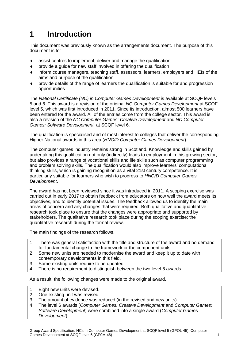# <span id="page-2-0"></span>**1 Introduction**

This document was previously known as the arrangements document. The purpose of this document is to:

- assist centres to implement, deliver and manage the qualification
- provide a guide for new staff involved in offering the qualification
- inform course managers, teaching staff, assessors, learners, employers and HEIs of the aims and purpose of the qualification
- provide details of the range of learners the qualification is suitable for and progression opportunities

The *National Certificate (NC) in Computer Games Development* is available at SCQF levels 5 and 6. This award is a revision of the original *NC Computer Games Development* at SCQF level 5, which was first introduced in 2011. Since its introduction, almost 500 learners have been entered for the award. All of the entries come from the college sector. This award is also a revision of the *NC Computer Games: Creative Development* and *NC Computer Games: Software Development,* at SCQF level 6.

The qualification is specialised and of most interest to colleges that deliver the corresponding Higher National awards in this area (*HNC/D Computer Games Development*).

The computer games industry remains strong in Scotland. Knowledge and skills gained by undertaking this qualification not only (indirectly) leads to employment in this growing sector, but also provides a range of vocational skills and life skills such as computer programming and problem solving skills. The qualification would also improve learners' computational thinking skills, which is gaining recognition as a vital 21st century competence. It is particularly suitable for learners who wish to progress to *HNC/D Computer Games Development*.

The award has not been reviewed since it was introduced in 2011. A scoping exercise was carried out in early 2017 to obtain feedback from educators on how well the award meets its objectives, and to identify potential issues. The feedback allowed us to identify the main areas of concern and any changes that were required. Both qualitative and quantitative research took place to ensure that the changes were appropriate and supported by stakeholders. The qualitative research took place during the scoping exercise; the quantitative research during the formal review.

The main findings of the research follows.

- 1 There was general satisfaction with the title and structure of the award and no demand for fundamental change to the framework or the component units.
- 2 Some new units are needed to modernise the award and keep it up to date with contemporary developments in this field.
- 3 Some existing units require to be updated.
- 4 There is no requirement to distinguish between the two level 6 awards.

As a result, the following changes were made to the original award.

- 1 Eight new units were devised.
- 2 One existing unit was revised.
- 3 The amount of evidence was reduced (in the revised and new units).
- 4 The level 6 awards (*Computer Games: Creative Development* and *Computer Games: Software Development*) were combined into a single award (*Computer Games Development*).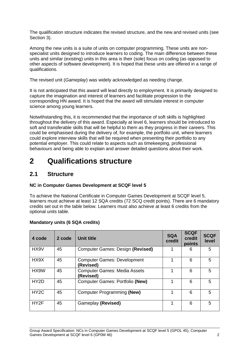The qualification structure indicates the revised structure, and the new and revised units (see Section 3).

Among the new units is a suite of units on computer programming. These units are nonspecialist units designed to introduce learners to coding. The main difference between these units and similar (existing) units in this area is their (sole) focus on coding (as opposed to other aspects of software development). It is hoped that these units are offered in a range of qualifications.

The revised unit (*Gameplay*) was widely acknowledged as needing change.

It is not anticipated that this award will lead directly to employment. It is primarily designed to capture the imagination and interest of learners and facilitate progression to the corresponding HN award. It is hoped that the award will stimulate interest in computer science among young learners.

Notwithstanding this, it is recommended that the importance of soft skills is highlighted throughout the delivery of this award. Especially at level 6, learners should be introduced to soft and transferable skills that will be helpful to them as they progress in their careers. This could be emphasised during the delivery of, for example, the portfolio unit, where learners could explore interview skills that will be required when presenting their portfolio to any potential employer. This could relate to aspects such as timekeeping, professional behaviours and being able to explain and answer detailed questions about their work.

# <span id="page-3-0"></span>**2 Qualifications structure**

### <span id="page-3-1"></span>**2.1 Structure**

#### **NC in Computer Games Development at SCQF level 5**

To achieve the National Certificate in Computer Games Development at SCQF level 5, learners must achieve at least 12 SQA credits (72 SCQ credit points). There are 6 mandatory credits set out in the table below. Learners must also achieve at least 6 credits from the optional units table.

| 4 code            | 2 code | <b>Unit title</b>                                | <b>SQA</b><br>credit | <b>SCQF</b><br>credit<br>points | <b>SCQF</b><br>level |
|-------------------|--------|--------------------------------------------------|----------------------|---------------------------------|----------------------|
| HX9V              | 45     | Computer Games: Design (Revised)                 |                      | 6                               | 5                    |
| HX9X              | 45     | <b>Computer Games: Development</b><br>(Revised)  | 1                    | 6                               | 5                    |
| HX9W              | 45     | <b>Computer Games: Media Assets</b><br>(Revised) | 1                    | 6                               | 5                    |
| HY <sub>2</sub> D | 45     | <b>Computer Games: Portfolio (New)</b>           | 4                    | 6                               | 5                    |
| HY <sub>2</sub> C | 45     | Computer Programming (New)                       | 1                    | 6                               | 5                    |
| HY2F              | 45     | Gameplay (Revised)                               | 1                    | 6                               | 5                    |

#### **Mandatory units (6 SQA credits)**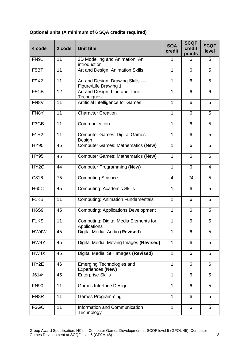### **Optional units (A minimum of 6 SQA credits required)**

| 4 code            | 2 code | <b>Unit title</b>                                            | <b>SQA</b><br>credit | <b>SCQF</b><br>credit<br>points | <b>SCQF</b><br>level |
|-------------------|--------|--------------------------------------------------------------|----------------------|---------------------------------|----------------------|
| <b>FN91</b>       | 11     | 3D Modelling and Animation: An<br>introduction               | 1                    | 6                               | 5                    |
| F <sub>5</sub> BT | 11     | Art and Design: Animation Skills                             | $\mathbf{1}$         | 6                               | 5                    |
| F9X2              | 11     | Art and Design: Drawing Skills -<br>Figure/Life Drawing 1    | $\mathbf{1}$         | 6                               | 5                    |
| F <sub>5</sub> CB | 12     | Art and Design: Line and Tone<br>Techniques                  | 1                    | 6                               | 6                    |
| FN8V              | 11     | Artificial Intelligence for Games                            | 1                    | 6                               | 5                    |
| FN8Y              | 11     | <b>Character Creation</b>                                    | 1                    | 6                               | 5                    |
| F3GB              | 11     | Communication                                                | $\mathbf{1}$         | 6                               | 5                    |
| <b>F1R2</b>       | 11     | <b>Computer Games: Digital Games</b><br>Design               | $\mathbf{1}$         | 6                               | 5                    |
| <b>HY95</b>       | 45     | <b>Computer Games: Mathematics (New)</b>                     | $\mathbf{1}$         | 6                               | 5                    |
| <b>HY95</b>       | 46     | <b>Computer Games: Mathematics (New)</b>                     | $\mathbf{1}$         | 6                               | 6                    |
| HY <sub>2</sub> C | 44     | <b>Computer Programming (New)</b>                            | $\mathbf{1}$         | 6                               | $\overline{4}$       |
| C816              | 75     | <b>Computing Science</b>                                     | 4                    | 24                              | 5                    |
| <b>H60C</b>       | 45     | <b>Computing: Academic Skills</b>                            | $\mathbf{1}$         | 6                               | 5                    |
| F <sub>1</sub> KB | 11     | <b>Computing: Animation Fundamentals</b>                     | $\mathbf{1}$         | 6                               | 5                    |
| <b>H6S9</b>       | 45     | <b>Computing: Applications Development</b>                   | $\mathbf{1}$         | 6                               | 5                    |
| F <sub>1</sub> KS | 11     | <b>Computing: Digital Media Elements for</b><br>Applications | 1                    | 6                               | 5                    |
| HW4W              | 45     | Digital Media: Audio (Revised)                               | 1                    | 6                               | 5                    |
| HW4Y              | 45     | Digital Media: Moving Images (Revised)                       | 1                    | 6                               | 5                    |
| HW4X              | 45     | Digital Media: Still Images (Revised)                        | $\mathbf{1}$         | 6                               | 5                    |
| HY2E              | 46     | <b>Emerging Technologies and</b><br><b>Experiences (New)</b> | $\mathbf{1}$         | 6                               | 6                    |
| $J614*$           | 45     | <b>Enterprise Skills</b>                                     | $\mathbf{1}$         | 6                               | 5                    |
| <b>FN90</b>       | 11     | <b>Games Interface Design</b>                                | $\mathbf{1}$         | 6                               | 5                    |
| FN8R              | 11     | <b>Games Programming</b>                                     | 1                    | 6                               | 5                    |
| F3GC              | 11     | Information and Communication<br>Technology                  | $\mathbf{1}$         | 6                               | 5                    |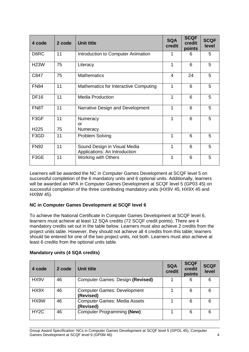| 4 code                   | 2 code   | <b>Unit title</b>                                             | <b>SQA</b><br>credit | <b>SCQF</b><br>credit<br>points | <b>SCQF</b><br>level |
|--------------------------|----------|---------------------------------------------------------------|----------------------|---------------------------------|----------------------|
| D6RC                     | 11       | Introduction to Computer Animation                            | 1                    | 6                               | 5                    |
| <b>H23W</b>              | 75       | Literacy                                                      | 1                    | 6                               | 5                    |
| C847                     | 75       | <b>Mathematics</b>                                            | 4                    | 24                              | 5                    |
| <b>FN84</b>              | 11       | Mathematics for Interactive Computing                         | 1                    | 6                               | 5                    |
| <b>DF16</b>              | 11       | <b>Media Production</b>                                       | 1                    | 6                               | 5                    |
| FN8T                     | 11       | Narrative Design and Development                              | 1                    | 6                               | 5                    |
| F3GF<br>H <sub>225</sub> | 11<br>75 | Numeracy<br>or<br>Numeracy                                    | 1                    | 6                               | 5                    |
| F3GD                     | 11       | Problem Solving                                               | 1                    | 6                               | 5                    |
| <b>FN92</b>              | 11       | Sound Design in Visual Media<br>Applications: An Introduction | 1                    | 6                               | 5                    |
| F3GE                     | 11       | <b>Working with Others</b>                                    | 1                    | 6                               | 5                    |

Learners will be awarded the NC in Computer Games Development at SCQF level 5 on successful completion of the 6 mandatory units and 6 optional units. Additionally, learners will be awarded an NPA in Computer Games Development at SCQF level 5 (GP03 45) on successful completion of the three contributing mandatory units (HX9V 45, HX9X 45 and HX9W 45).

#### **NC in Computer Games Development at SCQF level 6**

To achieve the National Certificate in Computer Games Development at SCQF level 6, learners must achieve at least 12 SQA credits (72 SCQF credit points). There are 4 mandatory credits set out in the table below. Learners must also achieve 2 credits from the project units table. However, they should not achieve all 4 credits from this table; learners should be entered for one of the two project units, not both. Learners must also achieve at least 6 credits from the optional units table.

| 4 code            | 2 code | Unit title                                       | <b>SQA</b><br>credit | <b>SCQF</b><br>credit<br>points | <b>SCQF</b><br>level |
|-------------------|--------|--------------------------------------------------|----------------------|---------------------------------|----------------------|
| HX9V              | 46     | <b>Computer Games: Design (Revised)</b>          |                      | 6                               | 6                    |
| HX9X              | 46     | <b>Computer Games: Development</b><br>(Revised)  |                      | 6                               | 6                    |
| HX9W              | 46     | <b>Computer Games: Media Assets</b><br>(Revised) |                      | 6                               | 6                    |
| HY <sub>2</sub> C | 46     | Computer Programming (New)                       |                      | 6                               | 6                    |

#### **Mandatory units (4 SQA credits)**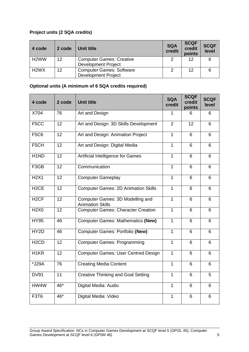#### **Project units (2 SQA credits)**

| 4 code                        | 2 code            | Unit title                      | <b>SQA</b><br>credit | <b>SCQF</b><br>credit<br>points | <b>SCQF</b><br>level |
|-------------------------------|-------------------|---------------------------------|----------------------|---------------------------------|----------------------|
| H <sub>2</sub> WW             | $12 \overline{ }$ | <b>Computer Games: Creative</b> |                      | 12                              | 6                    |
|                               |                   | <b>Development Project</b>      |                      |                                 |                      |
| H <sub>2</sub> W <sub>X</sub> | 12                | <b>Computer Games: Software</b> | 2                    | 12                              | 6                    |
|                               |                   | <b>Development Project</b>      |                      |                                 |                      |

#### **Optional units (A minimum of 6 SQA credits required)**

| 4 code            | 2 code | <b>Unit title</b>                                           | <b>SQA</b><br>credit | <b>SCQF</b><br>credit<br>points | <b>SCQF</b><br>level |
|-------------------|--------|-------------------------------------------------------------|----------------------|---------------------------------|----------------------|
| X704              | 76     | Art and Design                                              | 1                    | 6                               | 6                    |
| F <sub>5</sub> CC | 12     | Art and Design: 3D Skills Development                       | $\overline{2}$       | 12                              | 6                    |
| <b>F5C6</b>       | 12     | Art and Design: Animation Project                           | $\mathbf{1}$         | 6                               | 6                    |
| F5CH              | 12     | Art and Design: Digital Media                               | $\mathbf{1}$         | 6                               | 6                    |
| H <sub>1</sub> ND | 12     | Artificial Intelligence for Games                           | $\mathbf{1}$         | 6                               | 6                    |
| F3GB              | 12     | Communication                                               | $\overline{1}$       | 6                               | 6                    |
| <b>H2X1</b>       | 12     | <b>Computer Gameplay</b>                                    | $\mathbf{1}$         | 6                               | 6                    |
| H <sub>2</sub> CE | 12     | <b>Computer Games: 2D Animation Skills</b>                  | $\mathbf{1}$         | 6                               | 6                    |
| H <sub>2</sub> CF | 12     | Computer Games: 3D Modelling and<br><b>Animation Skills</b> | $\mathbf{1}$         | 6                               | 6                    |
| <b>H2X0</b>       | 12     | <b>Computer Games: Character Creation</b>                   | $\mathbf{1}$         | 6                               | 6                    |
| <b>HY95</b>       | 46     | <b>Computer Games: Mathematics (New)</b>                    | $\mathbf{1}$         | 6                               | 6                    |
| HY2D              | 46     | <b>Computer Games: Portfolio (New)</b>                      | $\overline{1}$       | 6                               | 6                    |
| H <sub>2</sub> CD | 12     | <b>Computer Games: Programming</b>                          | 1                    | 6                               | 6                    |
| H <sub>1</sub> KR | 12     | <b>Computer Games: User Centred Design</b>                  | $\mathbf{1}$         | 6                               | 6                    |
| *J29A             | 76     | <b>Creating Media Content</b>                               | $\mathbf{1}$         | 6                               | 6                    |
| <b>DV91</b>       | 11     | <b>Creative Thinking and Goal Setting</b>                   | $\mathbf{1}$         | 6                               | 5                    |
| HW4W              | 46*    | Digital Media: Audio                                        | $\mathbf{1}$         | 6                               | 6                    |
| <b>F3T6</b>       | 46*    | Digital Media: Video                                        | $\mathbf{1}$         | 6                               | 6                    |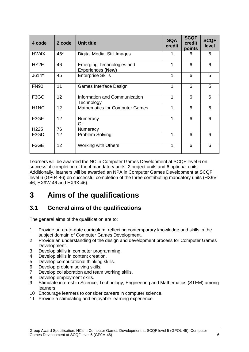| 4 code            | 2 code | <b>Unit title</b>                              | <b>SQA</b><br>credit | <b>SCQF</b><br>credit<br>points | <b>SCQF</b><br>level |
|-------------------|--------|------------------------------------------------|----------------------|---------------------------------|----------------------|
| HW4X              | 46*    | Digital Media: Still Images                    | 1                    | 6                               | 6                    |
| HY2E              | 46     | Emerging Technologies and<br>Experiences (New) | 1                    | 6                               | 6                    |
| $J614*$           | 45     | <b>Enterprise Skills</b>                       | 1                    | 6                               | 5                    |
| <b>FN90</b>       | 11     | Games Interface Design                         | 1                    | 6                               | 5                    |
| F <sub>3</sub> GC | 12     | Information and Communication<br>Technology    | 1                    | 6                               | 6                    |
| H <sub>1</sub> NC | 12     | <b>Mathematics for Computer Games</b>          | 1                    | 6                               | 6                    |
| F3GF              | 12     | Numeracy<br>Or                                 | 1                    | 6                               | 6                    |
| H <sub>225</sub>  | 76     | Numeracy                                       |                      |                                 |                      |
| F3GD              | 12     | Problem Solving                                | 1                    | 6                               | 6                    |
| F3GE              | 12     | <b>Working with Others</b>                     | 1                    | 6                               | 6                    |

Learners will be awarded the NC in Computer Games Development at SCQF level 6 on successful completion of the 4 mandatory units, 2 project units and 6 optional units. Additionally, learners will be awarded an NPA in Computer Games Development at SCQF level 6 (GP04 46) on successful completion of the three contributing mandatory units (HX9V 46, HX9W 46 and HX9X 46).

# <span id="page-7-0"></span>**3 Aims of the qualifications**

## <span id="page-7-1"></span>**3.1 General aims of the qualifications**

The general aims of the qualification are to:

- 1 Provide an up-to-date curriculum, reflecting contemporary knowledge and skills in the subject domain of Computer Games Development.
- 2 Provide an understanding of the design and development process for Computer Games Development.
- 3 Develop skills in computer programming.
- 4 Develop skills in content creation.
- 5 Develop computational thinking skills.
- 6 Develop problem solving skills.
- 7 Develop collaboration and team working skills.
- 8 Develop employment skills.
- 9 Stimulate interest in Science, Technology, Engineering and Mathematics (STEM) among learners.
- 10 Encourage learners to consider careers in computer science.
- 11 Provide a stimulating and enjoyable learning experience.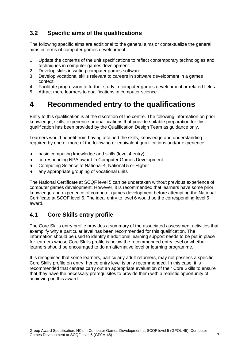## <span id="page-8-0"></span>**3.2 Specific aims of the qualifications**

The following specific aims are additional to the general aims or contextualize the general aims in terms of computer games development.

- 1 Update the contents of the unit specifications to reflect contemporary technologies and techniques in computer games development.
- 2 Develop skills in writing computer games software.
- 3 Develop vocational skills relevant to careers in software development in a games context.
- 4 Facilitate progression to further study in computer games development or related fields.
- 5 Attract more learners to qualifications in computer science.

# <span id="page-8-1"></span>**4 Recommended entry to the qualifications**

Entry to this qualification is at the discretion of the centre. The following information on prior knowledge, skills, experience or qualifications that provide suitable preparation for this qualification has been provided by the Qualification Design Team as guidance only.

Learners would benefit from having attained the skills, knowledge and understanding required by one or more of the following or equivalent qualifications and/or experience:

- basic computing knowledge and skills (level 4 entry)
- corresponding NPA award in Computer Games Development
- Computing Science at National 4, National 5 or Higher
- any appropriate grouping of vocational units

The National Certificate at SCQF level 5 can be undertaken without previous experience of computer games development. However, it is recommended that learners have some prior knowledge and experience of computer games development before attempting the National Certificate at SCQF level 6. The ideal entry to level 6 would be the corresponding level 5 award.

### <span id="page-8-2"></span>**4.1 Core Skills entry profile**

The Core Skills entry profile provides a summary of the associated assessment activities that exemplify why a particular level has been recommended for this qualification. The information should be used to identify if additional learning support needs to be put in place for learners whose Core Skills profile is below the recommended entry level or whether learners should be encouraged to do an alternative level or learning programme.

It is recognised that some learners, particularly adult returners, may not possess a specific Core Skills profile on entry, hence entry level is only recommended. In this case, it is recommended that centres carry out an appropriate evaluation of their Core Skills to ensure that they have the necessary prerequisites to provide them with a realistic opportunity of achieving on this award.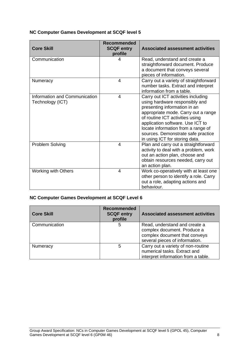#### **NC Computer Games Development at SCQF level 5**

| <b>Core Skill</b>                                 | <b>Recommended</b><br><b>SCQF entry</b><br>profile | <b>Associated assessment activities</b>                                                                                                                                                                                                                                                                                          |
|---------------------------------------------------|----------------------------------------------------|----------------------------------------------------------------------------------------------------------------------------------------------------------------------------------------------------------------------------------------------------------------------------------------------------------------------------------|
| Communication                                     | 4                                                  | Read, understand and create a<br>straightforward document. Produce<br>a document that conveys several<br>pieces of information.                                                                                                                                                                                                  |
| Numeracy                                          | 4                                                  | Carry out a variety of straightforward<br>number tasks. Extract and interpret<br>information from a table.                                                                                                                                                                                                                       |
| Information and Communication<br>Technology (ICT) | 4                                                  | Carry out ICT activities including<br>using hardware responsibly and<br>presenting information in an<br>appropriate mode. Carry out a range<br>of routine ICT activities using<br>application software. Use ICT to<br>locate information from a range of<br>sources. Demonstrate safe practice<br>in using ICT for storing data. |
| Problem Solving                                   | $\boldsymbol{4}$                                   | Plan and carry out a straightforward<br>activity to deal with a problem, work<br>out an action plan, choose and<br>obtain resources needed, carry out<br>an action plan.                                                                                                                                                         |
| <b>Working with Others</b>                        | 4                                                  | Work co-operatively with at least one<br>other person to identify a role. Carry<br>out a role, adapting actions and<br>behaviour.                                                                                                                                                                                                |

#### **NC Computer Games Development at SCQF Level 6**

| <b>Core Skill</b> | <b>Recommended</b><br><b>SCQF entry</b><br>profile | <b>Associated assessment activities</b>                                                                                         |
|-------------------|----------------------------------------------------|---------------------------------------------------------------------------------------------------------------------------------|
| Communication     | 5                                                  | Read, understand and create a<br>complex document. Produce a<br>complex document that conveys<br>several pieces of information. |
| Numeracy          | 5                                                  | Carry out a variety of non-routine<br>numerical tasks. Extract and<br>interpret information from a table.                       |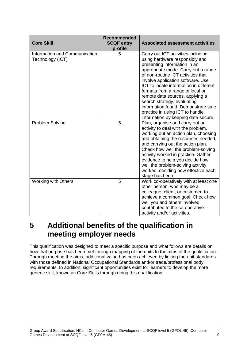| <b>Core Skill</b>                                 | <b>Recommended</b><br><b>SCQF entry</b><br>profile | <b>Associated assessment activities</b>                                                                                                                                                                                                                                                                                                                                                                                                                                                 |
|---------------------------------------------------|----------------------------------------------------|-----------------------------------------------------------------------------------------------------------------------------------------------------------------------------------------------------------------------------------------------------------------------------------------------------------------------------------------------------------------------------------------------------------------------------------------------------------------------------------------|
| Information and Communication<br>Technology (ICT) | 5                                                  | Carry out ICT activities including<br>using hardware responsibly and<br>presenting information in an<br>appropriate mode. Carry out a range<br>of non-routine ICT activities that<br>involve application software. Use<br>ICT to locate information in different<br>formats from a range of local or<br>remote data sources, applying a<br>search strategy, evaluating<br>information found. Demonstrate safe<br>practice in using ICT to handle<br>information by keeping data secure. |
| Problem Solving                                   | 5                                                  | Plan, organise and carry out an<br>activity to deal with the problem,<br>working out an action plan, choosing<br>and obtaining the resources needed,<br>and carrying out the action plan.<br>Check how well the problem-solving<br>activity worked in practice. Gather<br>evidence to help you decide how<br>well the problem-solving activity<br>worked, deciding how effective each<br>stage has been.                                                                                |
| <b>Working with Others</b>                        | 5                                                  | Work co-operatively with at least one<br>other person, who may be a<br>colleague, client, or customer, to<br>achieve a common goal. Check how<br>well you and others involved<br>contributed to the co-operative<br>activity and/or activities.                                                                                                                                                                                                                                         |

## <span id="page-10-0"></span>**5 Additional benefits of the qualification in meeting employer needs**

This qualification was designed to meet a specific purpose and what follows are details on how that purpose has been met through mapping of the units to the aims of the qualification. Through meeting the aims, additional value has been achieved by linking the unit standards with those defined in National Occupational Standards and/or trade/professional body requirements. In addition, significant opportunities exist for learners to develop the more generic skill, known as Core Skills through doing this qualification.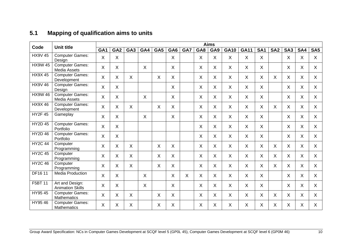## **5.1 Mapping of qualification aims to units**

<span id="page-11-0"></span>

| Code           | <b>Unit title</b>                            | <b>Aims</b>     |                 |                 |              |         |                           |     |     |     |              |             |                 |                 |                 |         |              |
|----------------|----------------------------------------------|-----------------|-----------------|-----------------|--------------|---------|---------------------------|-----|-----|-----|--------------|-------------|-----------------|-----------------|-----------------|---------|--------------|
|                |                                              | GA <sub>1</sub> | GA <sub>2</sub> | GA <sub>3</sub> | GA4          | GA5     | GA <sub>6</sub>           | GA7 | GA8 | GA9 | <b>GA10</b>  | <b>GA11</b> | SA <sub>1</sub> | SA <sub>2</sub> | SA <sub>3</sub> | SA4     | <b>SA5</b>   |
| <b>HX9V 45</b> | <b>Computer Games:</b><br>Design             | X               | X               |                 |              |         | X                         |     | X   | X   | $\sf X$      | X           | X               |                 | X               | X       | X            |
| <b>HX9W 45</b> | <b>Computer Games:</b><br>Media Assets       | X               | $\sf X$         |                 | $\mathsf{X}$ |         | X                         |     | X   | X   | X.           | X           | $\mathsf{X}$    |                 | X               | X       | X            |
| <b>HX9X45</b>  | <b>Computer Games:</b><br>Development        | $\sf X$         | $\sf X$         | $\mathsf{X}$    |              | $\sf X$ | $\sf X$                   |     | X   | X   | $\mathsf{X}$ | X           | $\mathsf{X}$    | $\sf X$         | X               | X       | X            |
| <b>HX9V 46</b> | <b>Computer Games:</b><br>Design             | X               | X               |                 |              |         | $\boldsymbol{\mathsf{X}}$ |     | X   | X   | $\mathsf{X}$ | X           | X               |                 | X               | X       | X.           |
| <b>HX9W46</b>  | <b>Computer Games:</b><br>Media Assets       | X               | $\sf X$         |                 | $\mathsf{X}$ |         | $\times$                  |     | X   | X   | X.           | X           | X               |                 | $\sf X$         | X       | $\mathsf{X}$ |
| <b>HX9X46</b>  | <b>Computer Games:</b><br>Development        | $\mathsf{X}$    | $\sf X$         | $\mathsf{X}$    |              | X       | $\sf X$                   |     | X   | X   | $\mathsf{X}$ | $\sf X$     | $\mathsf{X}$    | $\sf X$         | X               | $\sf X$ | X            |
| <b>HY2F45</b>  | Gameplay                                     | X               | X               |                 | X            |         | X                         |     | X   | X   | $\sf X$      | X           | X               |                 | X               | X       | X.           |
| <b>HY2D 45</b> | <b>Computer Games:</b><br>Portfolio          | X               | X               |                 |              |         |                           |     | X   | X   | X.           | X           | X               |                 | X               | X       | X            |
| <b>HY2D 46</b> | <b>Computer Games:</b><br>Portfolio          | X               | $\sf X$         |                 |              |         |                           |     | X   | X   | X            | X           | X               |                 | X               | X       | X.           |
| <b>HY2C 44</b> | Computer<br>Programming                      | X               | X               | X               |              | X       | $\sf X$                   |     | X   | X   | $\mathsf{X}$ | X           | X               | $\sf X$         | X               | X       | X            |
| <b>HY2C 45</b> | Computer<br>Programming                      | $\sf X$         | $\times$        | $\mathsf{X}$    |              | X       | $\sf X$                   |     | X   | X   | X.           | X           | X               | X               | $\sf X$         | X       | $\mathsf{X}$ |
| <b>HY2C 46</b> | Computer<br>Programming                      | $\sf X$         | $\sf X$         | X.              |              | X       | $\sf X$                   |     | X   | X   | $\mathsf{X}$ | X           | $\mathsf{X}$    | $\sf X$         | X               | X       | X            |
| <b>DF1611</b>  | <b>Media Production</b>                      | X               | X               |                 | X            |         | X                         | X   | X   | X   | X            | X           | X               |                 | X               | X       | X            |
| F5BT 11        | Art and Design:<br><b>Animation Skills</b>   | X               | $\sf X$         |                 | $\mathsf{X}$ |         | $\sf X$                   |     | X   | X   | X.           | X           | $\mathsf{X}$    |                 | $\sf X$         | X       | $\mathsf{X}$ |
| HY95 45        | <b>Computer Games:</b><br><b>Mathematics</b> | X               | $\pmb{\times}$  | X               |              | X       | X                         |     | X   | X   | X.           | X           | X               | X               | X               | X       | X.           |
| HY95 46        | <b>Computer Games:</b><br><b>Mathematics</b> | X               | X               | Χ               |              | X       | $\sf X$                   |     | X   | X   | X.           | X           | X               | X               | X               | X       | X            |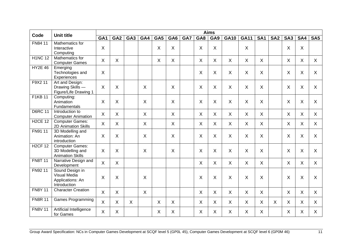| Code           | <b>Unit title</b>                            |                 |                 |                 |              |              |                 |     |         | <b>Aims</b> |              |             |                 |                 |                 |         |                 |
|----------------|----------------------------------------------|-----------------|-----------------|-----------------|--------------|--------------|-----------------|-----|---------|-------------|--------------|-------------|-----------------|-----------------|-----------------|---------|-----------------|
|                |                                              | GA <sub>1</sub> | GA <sub>2</sub> | GA <sub>3</sub> | GA4          | GA5          | GA <sub>6</sub> | GA7 | GA8     | GA9         | <b>GA10</b>  | <b>GA11</b> | SA <sub>1</sub> | SA <sub>2</sub> | SA <sub>3</sub> | SA4     | SA <sub>5</sub> |
| FN84 11        | Mathematics for                              |                 |                 |                 |              |              |                 |     |         |             |              |             |                 |                 |                 |         |                 |
|                | Interactive                                  | X               |                 |                 |              | X            | X               |     | X       | X           |              | X           |                 |                 | X               | X       |                 |
|                | Computing                                    |                 |                 |                 |              |              |                 |     |         |             |              |             |                 |                 |                 |         |                 |
| <b>H1NC12</b>  | Mathematics for<br><b>Computer Games</b>     | X               | X               |                 |              | $\sf X$      | X               |     | $\sf X$ | X           | $\mathsf{X}$ | $\sf X$     | $\mathsf{X}$    |                 | $\sf X$         | X       | X               |
| <b>HY2E 46</b> | Emerging                                     |                 |                 |                 |              |              |                 |     |         |             |              |             |                 |                 |                 |         |                 |
|                | Technologies and<br>Experiences              | X               |                 |                 |              |              |                 |     | $\sf X$ | $\times$    | X            | $\times$    | $\sf X$         |                 | X               | $\sf X$ | $\mathsf{X}$    |
| F9X2 11        | Art and Design:                              |                 |                 |                 |              |              |                 |     |         |             |              |             |                 |                 |                 |         |                 |
|                | Drawing Skills -                             | X               | $\sf X$         |                 | $\sf X$      |              | $\sf X$         |     | $\sf X$ | $\times$    | $\mathsf{X}$ | $\sf X$     | $\sf X$         |                 | $\sf X$         | $\sf X$ | $\mathsf{X}$    |
|                | Figure/Life Drawing 1                        |                 |                 |                 |              |              |                 |     |         |             |              |             |                 |                 |                 |         |                 |
| <b>F1KB 11</b> | Computing:                                   |                 |                 |                 |              |              |                 |     |         |             |              |             |                 |                 |                 |         |                 |
|                | Animation                                    | X               | X               |                 | $\sf X$      |              | $\sf X$         |     | X       | $\times$    | $\sf X$      | $\times$    | X               |                 | $\sf X$         | $\sf X$ | $\mathsf{X}$    |
|                | Fundamentals                                 |                 |                 |                 |              |              |                 |     |         |             |              |             |                 |                 |                 |         |                 |
| <b>D6RC 11</b> | Introduction to<br><b>Computer Animation</b> | $\mathsf{X}$    | X               |                 | X            |              | $\sf X$         |     | X       | $\sf X$     | $\mathsf{X}$ | X           | $\sf X$         |                 | X               | X       | X               |
| <b>H2CE 12</b> | <b>Computer Games:</b>                       | $\sf X$         | X               |                 | X            |              | $\sf X$         |     | X       | $\sf X$     | $\sf X$      | $\sf X$     | $\mathsf{X}$    |                 | X               | X       | X               |
|                | 2D Animation Skills                          |                 |                 |                 |              |              |                 |     |         |             |              |             |                 |                 |                 |         |                 |
| FN91 11        | 3D Modelling and                             |                 |                 |                 |              |              |                 |     |         |             |              |             |                 |                 |                 |         |                 |
|                | Animation: An                                | X               | X               |                 | X            |              | $\sf X$         |     | $\sf X$ | $\times$    | $\mathsf{X}$ | $\times$    | X               |                 | $\sf X$         | $\sf X$ | $\mathsf{X}$    |
|                | introduction                                 |                 |                 |                 |              |              |                 |     |         |             |              |             |                 |                 |                 |         |                 |
| <b>H2CF 12</b> | <b>Computer Games:</b>                       |                 |                 |                 |              |              |                 |     |         |             |              |             |                 |                 |                 |         |                 |
|                | 3D Modelling and                             | X               | X               |                 | $\sf X$      |              | $\times$        |     | X       | $\times$    | $\sf X$      | $\times$    | X               |                 | $\sf X$         | X       | $\mathsf{X}$    |
|                | <b>Animation Skills</b>                      |                 |                 |                 |              |              |                 |     |         |             |              |             |                 |                 |                 |         |                 |
| <b>FN8T 11</b> | Narrative Design and                         | $\mathsf{X}$    | X               |                 |              |              |                 |     | X       | X           | $\mathsf{X}$ | X           | X               |                 | X               | X       | X               |
|                | Development                                  |                 |                 |                 |              |              |                 |     |         |             |              |             |                 |                 |                 |         |                 |
| FN92 11        | Sound Design in<br><b>Visual Media</b>       |                 |                 |                 |              |              |                 |     |         |             |              |             |                 |                 |                 |         |                 |
|                | Applications: An                             | X               | X               |                 | X            |              |                 |     | X       | $\times$    | $\sf X$      | $\times$    | $\sf X$         |                 | $\sf X$         | $\sf X$ | X               |
|                | Introduction                                 |                 |                 |                 |              |              |                 |     |         |             |              |             |                 |                 |                 |         |                 |
| <b>FN8Y 11</b> | <b>Character Creation</b>                    |                 |                 |                 |              |              |                 |     |         |             |              |             |                 |                 |                 |         |                 |
|                |                                              | $\mathsf{X}$    | $\sf X$         |                 | $\mathsf{X}$ |              |                 |     | $\sf X$ | $\times$    | $\sf X$      | $\sf X$     | $\mathsf{X}$    |                 | $\sf X$         | $\sf X$ | $\mathsf{X}$    |
| <b>FN8R 11</b> | Games Programming                            | $\mathsf{X}$    | $\sf X$         | X               |              | $\sf X$      | $\sf X$         |     | $\sf X$ | X           | X            | X           | $\mathsf{X}$    | $\sf X$         | X               | $\sf X$ | $\mathsf{X}$    |
| <b>FN8V 11</b> | Artificial Intelligence                      |                 |                 |                 |              |              |                 |     |         |             |              |             |                 |                 |                 |         |                 |
|                | for Games                                    | $\mathsf{X}$    | $\sf X$         |                 |              | $\mathsf{X}$ | $\sf X$         |     | $\sf X$ | X           | X            | X           | $\mathsf{X}$    |                 | $\sf X$         | X       | $\mathsf{X}$    |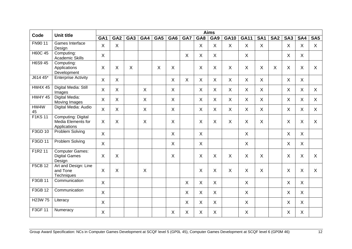| Code           | <b>Unit title</b>                                                      |                           |                           |                 |              |     |                           |                           |              | <b>Aims</b> |              |                           |              |                 |                           |              |                 |
|----------------|------------------------------------------------------------------------|---------------------------|---------------------------|-----------------|--------------|-----|---------------------------|---------------------------|--------------|-------------|--------------|---------------------------|--------------|-----------------|---------------------------|--------------|-----------------|
|                |                                                                        | GA <sub>1</sub>           | GA <sub>2</sub>           | GA <sub>3</sub> | GA4          | GA5 | GA <sub>6</sub>           | GA7                       | GA8          | GA9         | <b>GA10</b>  | <b>GA11</b>               | <b>SA1</b>   | SA <sub>2</sub> | SA <sub>3</sub>           | SA4          | SA <sub>5</sub> |
| FN90 11        | Games Interface<br>Design                                              | $\sf X$                   | $\sf X$                   |                 |              |     |                           |                           | X            | $\sf X$     | $\mathsf{X}$ | $\sf X$                   | $\mathsf{X}$ |                 | $\sf X$                   | $\sf X$      | $\sf X$         |
| <b>H60C 45</b> | Computing:<br><b>Academic Skills</b>                                   | X                         |                           |                 |              |     |                           | X                         | X            | $\sf X$     |              | $\sf X$                   |              |                 | X                         | X            |                 |
| H6S9 45        | Computing:<br>Applications<br>Development                              | X                         | $\boldsymbol{\mathsf{X}}$ | X               |              | X   | $\boldsymbol{\mathsf{X}}$ |                           | X            | X           | X            | X                         | X            | X               | $\sf X$                   | X            | X               |
| J614 45*       | <b>Enterprise Activity</b>                                             | X                         | $\boldsymbol{\mathsf{X}}$ |                 |              |     | X                         | $\boldsymbol{\mathsf{X}}$ | $\sf X$      | $\sf X$     | X            | X                         | $\mathsf{X}$ |                 | $\sf X$                   | $\mathsf{X}$ |                 |
| <b>HW4X45</b>  | Digital Media: Still<br>Images                                         | X                         | X                         |                 | $\mathsf{X}$ |     | $\sf X$                   |                           | $\sf X$      | $\sf X$     | $\mathsf{X}$ | $\mathsf{X}$              | $\mathsf{X}$ |                 | $\sf X$                   | $\mathsf{X}$ | X               |
| <b>HW4Y 45</b> | Digital Media:<br>Moving Images                                        | $\mathsf{X}$              | $\mathsf{X}$              |                 | $\mathsf{X}$ |     | $\sf X$                   |                           | $\sf X$      | X           | $\mathsf{X}$ | $\boldsymbol{\mathsf{X}}$ | $\mathsf{X}$ |                 | $\sf X$                   | $\mathsf{X}$ | X               |
| HW4W<br>45     | Digital Media: Audio                                                   | X                         | $\mathsf{X}$              |                 | $\mathsf{X}$ |     | $\sf X$                   |                           | X            | $\sf X$     | $\mathsf{X}$ | $\sf X$                   | X            |                 | $\sf X$                   | X            | $\mathsf{X}$    |
| <b>F1KS11</b>  | <b>Computing: Digital</b><br><b>Media Elements for</b><br>Applications | $\boldsymbol{\mathsf{X}}$ | $\sf X$                   |                 | X            |     | $\boldsymbol{\mathsf{X}}$ |                           | X            | $\sf X$     | $\sf X$      | X                         | X            |                 | $\boldsymbol{\mathsf{X}}$ | $\mathsf X$  | $\mathsf{X}$    |
| F3GD 10        | <b>Problem Solving</b>                                                 | $\mathsf{X}$              |                           |                 |              |     | $\sf X$                   |                           | $\mathsf{X}$ |             |              | $\mathsf{X}$              |              |                 | $\sf X$                   | X            |                 |
| F3GD 11        | <b>Problem Solving</b>                                                 | $\mathsf{X}$              |                           |                 |              |     | X                         |                           | X            |             |              | X                         |              |                 | X                         | X            |                 |
| F1R2 11        | <b>Computer Games:</b><br><b>Digital Games</b><br>Design               | X                         | $\sf X$                   |                 |              |     | $\boldsymbol{\mathsf{X}}$ |                           | X            | $\sf X$     | $\sf X$      | $\times$                  | Χ            |                 | $\sf X$                   | X            | $\mathsf{X}$    |
| <b>F5CB 12</b> | Art and Design: Line<br>and Tone<br>Techniques                         | X                         | $\times$                  |                 | X            |     |                           |                           | X            | X           | $\sf X$      | $\times$                  | X            |                 | X                         | X            | $\mathsf{X}$    |
| F3GB 11        | Communication                                                          | $\mathsf{X}$              |                           |                 |              |     |                           | X                         | X            | $\sf X$     |              | $\mathsf{X}$              |              |                 | $\sf X$                   | X            |                 |
| F3GB 12        | Communication                                                          | X                         |                           |                 |              |     |                           | $\boldsymbol{\mathsf{X}}$ | X            | X           |              | $\mathsf{X}$              |              |                 | $\sf X$                   | X            |                 |
| H23W 75        | Literacy                                                               | X                         |                           |                 |              |     |                           | X                         | X            | X           |              | $\sf X$                   |              |                 | X                         | X            |                 |
| F3GF 11        | Numeracy                                                               | $\sf X$                   |                           |                 |              |     | $\sf X$                   | Χ                         | X            | X           |              | X                         |              |                 | X                         | X            |                 |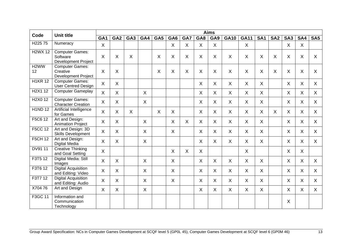| Code                                         | <b>Unit title</b>                                                |                 |                 |                 |              |         |                 |     |                           | <b>Aims</b>  |              |             |              |                 |                 |         |                 |
|----------------------------------------------|------------------------------------------------------------------|-----------------|-----------------|-----------------|--------------|---------|-----------------|-----|---------------------------|--------------|--------------|-------------|--------------|-----------------|-----------------|---------|-----------------|
|                                              |                                                                  | GA <sub>1</sub> | GA <sub>2</sub> | GA <sub>3</sub> | GA4          | GA5     | GA <sub>6</sub> | GA7 | GA8                       | GA9          | <b>GA10</b>  | <b>GA11</b> | <b>SA1</b>   | SA <sub>2</sub> | SA <sub>3</sub> | SA4     | SA <sub>5</sub> |
| H <sub>225</sub> 75                          | Numeracy                                                         | $\sf X$         |                 |                 |              |         | $\sf X$         | X   | X                         | X            |              | $\sf X$     |              |                 | X               | X       |                 |
| <b>H2WX 12</b>                               | <b>Computer Games:</b><br>Software<br><b>Development Project</b> | X               | $\sf X$         | Χ               |              | X       | X               | X   | X                         | X            | X            | X           | X            | X               | $\sf X$         | X       | X               |
| H <sub>2</sub> WW<br>12                      | <b>Computer Games:</b><br>Creative<br><b>Development Project</b> | X               | $\sf X$         |                 |              | $\sf X$ | $\sf X$         | X   | $\sf X$                   | X            | $\mathsf{X}$ | $\sf X$     | $\sf X$      | $\sf X$         | $\sf X$         | X       | $\mathsf{X}$    |
| <b>H1KR 12</b>                               | <b>Computer Games:</b><br><b>User Centred Design</b>             | $\mathsf{X}$    | $\sf X$         |                 |              |         |                 |     | $\sf X$                   | $\sf X$      | $\mathsf{X}$ | X           | $\mathsf{X}$ |                 | $\sf X$         | $\sf X$ | $\mathsf{X}$    |
| H <sub>2</sub> X <sub>1</sub> 1 <sub>2</sub> | <b>Computer Gameplay</b>                                         | X               | X               |                 | X.           |         |                 |     | X                         | X            | X            | X           | X.           |                 | X               | X       | X               |
| H <sub>2</sub> X <sub>0</sub> 1 <sub>2</sub> | <b>Computer Games:</b><br><b>Character Creation</b>              | X               | $\sf X$         |                 | X            |         |                 |     | X                         | X            | X            | X           | X            |                 | X               | X       | X               |
| <b>H1ND12</b>                                | Artificial Intelligence<br>for Games                             | $\mathsf{X}$    | $\sf X$         | $\sf X$         |              | $\sf X$ | $\sf X$         |     | $\boldsymbol{\mathsf{X}}$ | X            | X            | $\sf X$     | $\mathsf{X}$ | $\sf X$         | $\sf X$         | X       | X               |
| F5C6 12                                      | Art and Design:<br><b>Animation Project</b>                      | X               | $\sf X$         |                 | $\sf X$      |         | $\sf X$         | X   | $\mathsf{X}$              | X            | X            | X           | $\mathsf{X}$ |                 | $\sf X$         | X       | $\mathsf{X}$    |
| <b>F5CC 12</b>                               | Art and Design: 3D<br><b>Skills Development</b>                  | X               | X               |                 | X            |         | X               |     | X                         | X            | $\mathsf{X}$ | X           | $\mathsf{X}$ |                 | X               | X       | X               |
| <b>F5CH 12</b>                               | Art and Design:<br>Digital Media                                 | X               | $\sf X$         |                 | $\sf X$      |         |                 |     | $\sf X$                   | $\mathsf{X}$ | $\mathsf{X}$ | X           | $\mathsf{X}$ |                 | $\sf X$         | X       | X               |
| DV91 11                                      | <b>Creative Thinking</b><br>and Goal Setting                     | $\sf X$         |                 |                 |              |         | $\sf X$         | X   | $\sf X$                   |              |              | $\sf X$     |              |                 | $\sf X$         | $\sf X$ |                 |
| F3T5 12                                      | Digital Media: Still<br>Images                                   | $\sf X$         | $\sf X$         |                 | $\mathsf{X}$ |         | $\sf X$         |     | $\sf X$                   | $\sf X$      | $\sf X$      | X           | $\mathsf{X}$ |                 | $\sf X$         | $\sf X$ | $\mathsf{X}$    |
| F3T6 12                                      | <b>Digital Acquisition</b><br>and Editing: Video                 | X               | $\sf X$         |                 | $\sf X$      |         | $\sf X$         |     | X                         | X            | X            | X           | $\mathsf{X}$ |                 | X               | X       | $\mathsf{X}$    |
| F3T7 12                                      | <b>Digital Acquisition</b><br>and Editing: Audio                 | $\sf X$         | $\sf X$         |                 | $\mathsf{X}$ |         | $\sf X$         |     | $\sf X$                   | X            | $\mathsf{X}$ | X           | $\mathsf{X}$ |                 | $\sf X$         | $\sf X$ | $\mathsf{X}$    |
| X70476                                       | Art and Design                                                   | X               | $\sf X$         |                 | X            |         |                 |     | X                         | X            | X            | X           | $\mathsf{X}$ |                 | $\sf X$         | X       | $\mathsf{X}$    |
| F3GC 11                                      | Information and<br>Communication<br>Technology                   |                 |                 |                 |              |         |                 |     |                           |              |              |             |              |                 | X               |         |                 |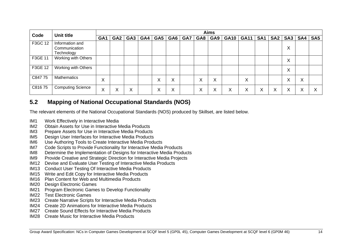| Code    | Unit title                                     |                   |                 |                   |     |                   |   |                |                   | <b>Aims</b> |   |             |                 |                 |                   |        |                 |
|---------|------------------------------------------------|-------------------|-----------------|-------------------|-----|-------------------|---|----------------|-------------------|-------------|---|-------------|-----------------|-----------------|-------------------|--------|-----------------|
|         |                                                | GA <sub>1</sub>   | GA <sub>2</sub> | GA <sub>3</sub>   | GA4 | GAS               |   | <b>GA6 GA7</b> | GA8               | GA9         |   | GA10   GA11 | SA <sub>1</sub> | SA <sub>2</sub> | SA3               | SA4    | SA <sub>5</sub> |
| F3GC 12 | Information and<br>Communication<br>Technology |                   |                 |                   |     |                   |   |                |                   |             |   |             |                 |                 | $\checkmark$<br>ᄉ |        |                 |
| F3GE 11 | Working with Others                            |                   |                 |                   |     |                   |   |                |                   |             |   |             |                 |                 | Χ                 |        |                 |
| F3GE 12 | Working with Others                            |                   |                 |                   |     |                   |   |                |                   |             |   |             |                 |                 | X                 |        |                 |
| C84775  | <b>Mathematics</b>                             | $\checkmark$<br>A |                 |                   |     | $\checkmark$      | X |                | v<br>∧            | X           |   | Χ           |                 |                 | $\checkmark$<br>∧ | X      |                 |
| C81675  | <b>Computing Science</b>                       | ⌒                 | ∧               | $\checkmark$<br>∧ |     | $\checkmark$<br>∧ | ∧ |                | $\checkmark$<br>∧ | ∧           | ∧ | X           | Χ               | ∧               | $\checkmark$<br>⋏ | v<br>∧ |                 |

## **5.2 Mapping of National Occupational Standards (NOS)**

The relevant elements of the National Occupational Standards (NOS) produced by Skillset, are listed below.

- IM1 Work Effectively in Interactive Media
- IM2 Obtain Assets for Use in Interactive Media Products
- IM3 Prepare Assets for Use in Interactive Media Products
- IM5 Design User Interfaces for Interactive Media Products
- IM6 Use Authoring Tools to Create Interactive Media Products
- IM7 Code Scripts to Provide Functionality for Interactive Media Products
- IM8 Determine the Implementation of Designs for Interactive Media Products
- IM9 Provide Creative and Strategic Direction for Interactive Media Projects
- IM12 Devise and Evaluate User Testing of Interactive Media Products
- IM13 Conduct User Testing Of Interactive Media Products
- IM15 Write and Edit Copy for Interactive Media Products
- IM16 Plan Content for Web and Multimedia Products
- IM20 Design Electronic Games
- IM21 Program Electronic Games to Develop Functionality
- IM22 Test Electronic Games
- IM23 Create Narrative Scripts for Interactive Media Products
- <span id="page-15-0"></span>IM24 Create 2D Animations for Interactive Media Products
- IM27 Create Sound Effects for Interactive Media Products
- IM28 Create Music for Interactive Media Products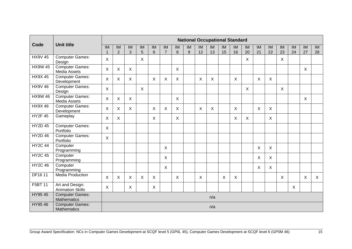|                |                                              |           |                           |                           |                           |                           |                           |                           |         |          |              | <b>National Occupational Standard</b> |              |          |          |              |          |          |          |          |
|----------------|----------------------------------------------|-----------|---------------------------|---------------------------|---------------------------|---------------------------|---------------------------|---------------------------|---------|----------|--------------|---------------------------------------|--------------|----------|----------|--------------|----------|----------|----------|----------|
| Code           | <b>Unit title</b>                            | <b>IM</b> | IM<br>$\overline{2}$      | IM<br>3                   | IM<br>5                   | IM<br>$\,6\,$             | IM<br>$\overline{7}$      | IM<br>8                   | IM<br>9 | IM<br>12 | IM<br>13     | IM<br>15                              | IM<br>16     | IM<br>20 | IM<br>21 | IM<br>22     | IM<br>23 | IM<br>24 | IM<br>27 | IM<br>28 |
| <b>HX9V 45</b> | <b>Computer Games:</b><br>Design             | X         |                           |                           | $\sf X$                   |                           |                           |                           |         |          |              |                                       |              | X        |          |              | X        |          |          |          |
| <b>HX9W 45</b> | <b>Computer Games:</b><br>Media Assets       | X         | X                         | X                         |                           |                           |                           | $\boldsymbol{\mathsf{X}}$ |         |          |              |                                       |              |          |          |              |          |          | X        |          |
| <b>HX9X45</b>  | <b>Computer Games:</b><br>Development        | X         | $\boldsymbol{\mathsf{X}}$ | $\sf X$                   |                           | X                         | X                         | $\sf X$                   |         | X        | X            |                                       | X            |          | X        | $\sf X$      |          |          |          |          |
| <b>HX9V46</b>  | <b>Computer Games:</b><br>Design             | X         |                           |                           | $\boldsymbol{\mathsf{X}}$ |                           |                           |                           |         |          |              |                                       |              | X        |          |              | X        |          |          |          |
| <b>HX9W 46</b> | <b>Computer Games:</b><br>Media Assets       | X         | $\sf X$                   | $\sf X$                   |                           |                           |                           | $\sf X$                   |         |          |              |                                       |              |          |          |              |          |          | X        |          |
| <b>HX9X46</b>  | <b>Computer Games:</b><br>Development        | X         | $\boldsymbol{\mathsf{X}}$ | $\boldsymbol{\mathsf{X}}$ |                           | $\boldsymbol{\mathsf{X}}$ | $\boldsymbol{\mathsf{X}}$ | $\boldsymbol{\mathsf{X}}$ |         | X        | $\mathsf{X}$ |                                       | $\mathsf{X}$ |          | $\sf X$  | $\mathsf{X}$ |          |          |          |          |
| <b>HY2F 45</b> | Gameplay                                     | X         | $\sf X$                   |                           |                           | $\boldsymbol{\mathsf{X}}$ |                           | $\sf X$                   |         |          |              |                                       | X            | X        |          | X            |          |          |          |          |
| <b>HY2D 45</b> | <b>Computer Games:</b><br>Portfolio          | X         |                           |                           |                           |                           |                           |                           |         |          |              |                                       |              |          |          |              |          |          |          |          |
| <b>HY2D 46</b> | <b>Computer Games:</b><br>Portfolio          | X         |                           |                           |                           |                           |                           |                           |         |          |              |                                       |              |          |          |              |          |          |          |          |
| <b>HY2C 44</b> | Computer<br>Programming                      |           |                           |                           |                           |                           | X                         |                           |         |          |              |                                       |              |          | X        | X            |          |          |          |          |
| <b>HY2C 45</b> | Computer<br>Programming                      |           |                           |                           |                           |                           | X                         |                           |         |          |              |                                       |              |          | X        | X            |          |          |          |          |
| <b>HY2C 46</b> | Computer<br>Programming                      |           |                           |                           |                           |                           | $\sf X$                   |                           |         |          |              |                                       |              |          | X        | X            |          |          |          |          |
| DF16 11        | <b>Media Production</b>                      | X         | $\boldsymbol{\mathsf{X}}$ | X                         | $\sf X$                   | $\times$                  |                           | $\sf X$                   |         | X        |              | X                                     | X            |          |          |              | X        |          | X        | $\sf X$  |
| F5BT 11        | Art and Design:<br><b>Animation Skills</b>   | X         |                           | X                         |                           | X                         |                           |                           |         |          |              |                                       |              |          |          |              |          | X        |          |          |
| HY95 45        | <b>Computer Games:</b><br><b>Mathematics</b> |           |                           |                           |                           |                           |                           |                           |         |          | n/a          |                                       |              |          |          |              |          |          |          |          |
| HY95 46        | <b>Computer Games:</b><br><b>Mathematics</b> |           |                           |                           |                           |                           |                           |                           |         |          | n/a          |                                       |              |          |          |              |          |          |          |          |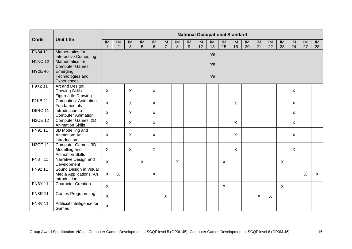|                |                                                                       |              |                           |                          |                          |              |                          |                           |    |    | <b>National Occupational Standard</b> |    |    |    |    |                          |                           |         |                          |              |
|----------------|-----------------------------------------------------------------------|--------------|---------------------------|--------------------------|--------------------------|--------------|--------------------------|---------------------------|----|----|---------------------------------------|----|----|----|----|--------------------------|---------------------------|---------|--------------------------|--------------|
| Code           | <b>Unit title</b>                                                     | IM           | $\overline{\mathsf{IM}}$  | $\overline{\mathsf{IM}}$ | $\overline{\mathsf{IM}}$ | IM           | $\overline{\mathsf{IM}}$ | IM                        | IM | IM | IM                                    | IM | IM | IM | IM | $\overline{\mathsf{IM}}$ | IM                        | IM      | $\overline{\mathsf{IM}}$ | IM           |
|                | Mathematics for                                                       | 1            | $\overline{2}$            | 3                        | 5                        | 6            | $\overline{7}$           | 8                         | 9  | 12 | 13                                    | 15 | 16 | 20 | 21 | 22                       | 23                        | 24      | 27                       | 28           |
| FN84 11        | <b>Interactive Computing</b>                                          |              |                           |                          |                          |              |                          |                           |    |    | n/a                                   |    |    |    |    |                          |                           |         |                          |              |
| <b>H1NC 12</b> | Mathematics for<br><b>Computer Games</b>                              |              |                           |                          |                          |              |                          |                           |    |    | n/a                                   |    |    |    |    |                          |                           |         |                          |              |
| <b>HY2E 46</b> | Emerging<br>Technologies and<br>Experiences                           |              |                           |                          |                          |              |                          |                           |    |    | n/a                                   |    |    |    |    |                          |                           |         |                          |              |
| F9X2 11        | Art and Design:<br>Drawing Skills -<br>Figure/Life Drawing 1          | $\sf X$      |                           | X                        |                          | $\times$     |                          |                           |    |    |                                       |    |    |    |    |                          |                           | $\sf X$ |                          |              |
| <b>F1KB11</b>  | <b>Computing: Animation</b><br>Fundamentals                           | $\sf X$      |                           | X                        |                          | $\mathsf{X}$ |                          |                           |    |    |                                       |    | X  |    |    |                          |                           | X       |                          |              |
| <b>D6RC 11</b> | Introduction to<br><b>Computer Animation</b>                          | $\sf X$      |                           | X                        |                          | $\mathsf{X}$ |                          |                           |    |    |                                       |    |    |    |    |                          |                           | X       |                          |              |
| <b>H2CE 12</b> | <b>Computer Games: 2D</b><br><b>Animation Skills</b>                  | $\mathsf{X}$ |                           | X                        |                          | X            |                          |                           |    |    |                                       |    | X  |    |    |                          |                           | X       |                          |              |
| FN91 11        | 3D Modelling and<br>Animation: An<br>introduction                     | X            |                           | X                        |                          | X            |                          |                           |    |    |                                       |    | X  |    |    |                          |                           | X       |                          |              |
| <b>H2CF 12</b> | <b>Computer Games: 3D</b><br>Modelling and<br><b>Animation Skills</b> | X            |                           | X                        |                          | X            |                          |                           |    |    |                                       |    | X  |    |    |                          |                           | X       |                          |              |
| <b>FN8T 11</b> | Narrative Design and<br>Development                                   | X            |                           |                          | X                        |              |                          | $\boldsymbol{\mathsf{X}}$ |    |    |                                       | X  |    |    |    |                          | $\boldsymbol{\mathsf{X}}$ |         |                          |              |
| FN92 11        | Sound Design in Visual<br>Media Applications: An<br>Introduction      | $\mathsf{X}$ | $\boldsymbol{\mathsf{X}}$ |                          |                          | X            |                          |                           |    |    |                                       |    |    |    |    |                          |                           |         | X                        | $\mathsf{X}$ |
| <b>FN8Y 11</b> | <b>Character Creation</b>                                             | $\times$     |                           |                          |                          |              |                          |                           |    |    |                                       | X  |    |    |    |                          | $\boldsymbol{\mathsf{X}}$ |         |                          |              |
| <b>FN8R 11</b> | <b>Games Programming</b>                                              | $\sf X$      |                           |                          |                          |              | $\mathsf{X}$             |                           |    |    |                                       |    |    |    | X  | X                        |                           |         |                          |              |
| <b>FN8V 11</b> | Artificial Intelligence for<br>Games                                  | $\sf X$      |                           |                          |                          |              |                          |                           |    |    |                                       |    |    |    |    |                          |                           |         |                          |              |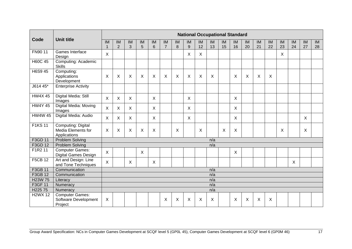|                      |                                                          |                |                           |              |                           |                           |                           |         |                           |          |          | <b>National Occupational Standard</b> |          |          |          |          |          |          |          |                 |
|----------------------|----------------------------------------------------------|----------------|---------------------------|--------------|---------------------------|---------------------------|---------------------------|---------|---------------------------|----------|----------|---------------------------------------|----------|----------|----------|----------|----------|----------|----------|-----------------|
| Code                 | <b>Unit title</b>                                        | IM             | IM<br>$\overline{2}$      | IM<br>3      | <b>IM</b><br>5            | IM<br>6                   | IM<br>$\overline{7}$      | IM<br>8 | IM<br>9                   | IM<br>12 | IM<br>13 | IM<br>15                              | IM<br>16 | IM<br>20 | IM<br>21 | IM<br>22 | IM<br>23 | IM<br>24 | IM<br>27 | <b>IM</b><br>28 |
| FN90 11              | Games Interface<br>Design                                | $\sf X$        |                           |              |                           |                           |                           |         | $\boldsymbol{\mathsf{X}}$ | X        |          |                                       |          |          |          |          | X        |          |          |                 |
| H60C 45              | Computing: Academic<br><b>Skills</b>                     |                |                           |              |                           |                           |                           |         |                           |          |          |                                       |          |          |          |          |          |          |          |                 |
| H6S9 45              | Computing:<br>Applications<br>Development                | X              | X                         | $\times$     | $\boldsymbol{\mathsf{X}}$ | $\boldsymbol{\mathsf{X}}$ | $\boldsymbol{\mathsf{X}}$ | X       | $\boldsymbol{\mathsf{X}}$ | X        | X        |                                       | X        | X        | X        | X        |          |          |          |                 |
| J614 45*             | <b>Enterprise Activity</b>                               |                |                           |              |                           |                           |                           |         |                           |          |          |                                       |          |          |          |          |          |          |          |                 |
| <b>HW4X45</b>        | Digital Media: Still<br>Images                           | X              | $\times$                  | $\times$     |                           | $\times$                  |                           |         | $\sf X$                   |          |          |                                       | X        |          |          |          |          |          |          |                 |
| <b>HW4Y 45</b>       | Digital Media: Moving<br>Images                          | X              | $\boldsymbol{\mathsf{X}}$ | $\sf X$      |                           | X                         |                           |         | $\boldsymbol{\mathsf{X}}$ |          |          |                                       | Χ        |          |          |          |          |          |          |                 |
| <b>HW4W 45</b>       | Digital Media: Audio                                     | X              | $\times$                  | $\mathsf{X}$ |                           | $\times$                  |                           |         | $\sf X$                   |          |          |                                       | X        |          |          |          |          |          | $\times$ |                 |
| <b>F1KS11</b>        | Computing: Digital<br>Media Elements for<br>Applications | X              | X                         | X            | X                         | X                         |                           | X       |                           | X        |          | X                                     | Χ        |          |          |          | X        |          | X        |                 |
| F3GD 11              | Problem Solving                                          |                |                           |              |                           |                           |                           |         |                           |          | n/a      |                                       |          |          |          |          |          |          |          |                 |
| F3GD 12              | Problem Solving                                          |                |                           |              |                           |                           |                           |         |                           |          | n/a      |                                       |          |          |          |          |          |          |          |                 |
| F1R2 11              | <b>Computer Games:</b><br>Digital Games Design           | $\sf X$        |                           |              | $\sf X$                   |                           |                           |         |                           |          |          |                                       | X        |          |          |          |          |          |          |                 |
| <b>F5CB 12</b>       | Art and Design: Line<br>and Tone Techniques              | $\pmb{\times}$ |                           | X            |                           | $\boldsymbol{\mathsf{X}}$ |                           |         |                           |          |          |                                       |          |          |          |          |          | X        |          |                 |
| F3GB 11              | Communication                                            |                |                           |              |                           |                           |                           |         |                           |          | n/a      |                                       |          |          |          |          |          |          |          |                 |
| F3GB 12              | Communication                                            |                |                           |              |                           |                           |                           |         |                           |          | n/a      |                                       |          |          |          |          |          |          |          |                 |
| H <sub>23</sub> W 75 | Literacy                                                 |                |                           |              |                           |                           |                           |         |                           |          | n/a      |                                       |          |          |          |          |          |          |          |                 |
| F3GF 11              | Numeracy                                                 |                |                           |              |                           |                           |                           |         |                           |          | n/a      |                                       |          |          |          |          |          |          |          |                 |
| H <sub>225</sub> 75  | Numeracy                                                 |                |                           |              |                           |                           |                           |         |                           |          | n/a      |                                       |          |          |          |          |          |          |          |                 |
| <b>H2WX 12</b>       | <b>Computer Games:</b>                                   |                |                           |              |                           |                           |                           |         |                           |          |          |                                       |          |          |          |          |          |          |          |                 |
|                      | Software Development<br>Project                          | X              |                           |              |                           |                           | Χ                         | X       | X                         | X        | X        |                                       | Χ        | Χ        | X        | X        |          |          |          |                 |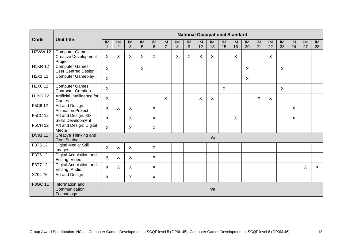|                                              |                                                                  |              |                                            |                               |                               |                       |                      |         |                           |          | <b>National Occupational Standard</b> |          |          |          |          |          |                           |          |          |              |
|----------------------------------------------|------------------------------------------------------------------|--------------|--------------------------------------------|-------------------------------|-------------------------------|-----------------------|----------------------|---------|---------------------------|----------|---------------------------------------|----------|----------|----------|----------|----------|---------------------------|----------|----------|--------------|
| Code                                         | <b>Unit title</b>                                                | IM           | $\overline{\mathsf{IM}}$<br>$\overline{2}$ | $\overline{\mathsf{IM}}$<br>3 | $\overline{\mathsf{IM}}$<br>5 | IM<br>$6\phantom{1}6$ | IM<br>$\overline{7}$ | IM<br>8 | IM<br>$9\,$               | IM<br>12 | IM<br>13                              | IM<br>15 | IM<br>16 | IM<br>20 | IM<br>21 | IM<br>22 | <b>IM</b><br>23           | IM<br>24 | IM<br>27 | IM<br>28     |
| <b>H2WW 12</b>                               | <b>Computer Games:</b><br><b>Creative Development</b><br>Project | X            | X                                          | X                             | X                             | X                     |                      | X       | $\boldsymbol{\mathsf{X}}$ | X        | X                                     |          | X        |          |          | X        |                           |          |          |              |
| <b>H1KR 12</b>                               | <b>Computer Games:</b><br><b>User Centred Design</b>             | $\sf X$      |                                            |                               | $\mathsf{X}$                  |                       |                      |         |                           |          |                                       |          |          | X        |          |          | $\boldsymbol{\mathsf{X}}$ |          |          |              |
| H <sub>2</sub> X <sub>1</sub> 1 <sub>2</sub> | Computer Gameplay                                                | $\sf X$      |                                            |                               |                               |                       |                      |         |                           |          |                                       |          |          | X        |          |          |                           |          |          |              |
| H <sub>2</sub> X <sub>0</sub> 1 <sub>2</sub> | <b>Computer Games:</b><br><b>Character Creation</b>              | $\sf X$      |                                            |                               |                               |                       |                      |         |                           |          |                                       | X        |          |          |          |          | $\boldsymbol{\mathsf{X}}$ |          |          |              |
| <b>H1ND12</b>                                | Artificial Intelligence for<br>Games                             | $\sf X$      |                                            |                               |                               |                       | $\mathsf{X}$         |         |                           | X        | $\sf X$                               |          |          |          | X        | X        |                           |          |          |              |
| F5C6 12                                      | Art and Design:<br><b>Animation Project</b>                      | X            | $\sf X$                                    | $\sf X$                       |                               | $\mathsf{X}$          |                      |         |                           |          |                                       |          |          |          |          |          |                           | X        |          |              |
| <b>F5CC 12</b>                               | Art and Design: 3D<br><b>Skills Development</b>                  | X            |                                            | X                             |                               | $\sf X$               |                      |         |                           |          |                                       |          | X        |          |          |          |                           | X        |          |              |
| <b>F5CH 12</b>                               | Art and Design: Digital<br>Media                                 | $\mathsf{X}$ |                                            | X                             |                               | $\sf X$               |                      |         |                           |          |                                       |          |          |          |          |          |                           |          |          |              |
| DV91 11                                      | Creative Thinking and<br><b>Goal Setting</b>                     |              |                                            |                               |                               |                       |                      |         |                           |          | n/a                                   |          |          |          |          |          |                           |          |          |              |
| F3T5 12                                      | Digital Media: Still<br>Images                                   | X            | $\boldsymbol{\mathsf{X}}$                  | X                             |                               | X                     |                      |         |                           |          |                                       |          |          |          |          |          |                           |          |          |              |
| F3T6 12                                      | <b>Digital Acquisition and</b><br>Editing: Video                 | $\sf X$      | $\mathsf{X}$                               | X                             |                               | $\sf X$               |                      |         |                           |          |                                       |          |          |          |          |          |                           |          |          |              |
| F3T7 12                                      | Digital Acquisition and<br>Editing: Audio                        | $\sf X$      | $\boldsymbol{\mathsf{X}}$                  | X                             |                               | $\sf X$               |                      |         |                           |          |                                       |          |          |          |          |          |                           |          | X        | $\mathsf{X}$ |
| X70476                                       | Art and Design                                                   | $\sf X$      |                                            | X                             |                               | X                     |                      |         |                           |          |                                       |          |          |          |          |          |                           |          |          |              |
| F3GC 11                                      | Information and<br>Communication<br>Technology                   |              |                                            |                               |                               |                       |                      |         |                           |          | n/a                                   |          |          |          |          |          |                           |          |          |              |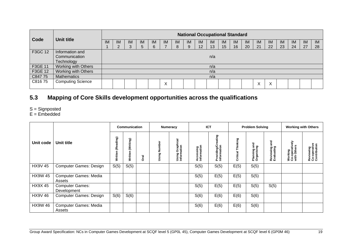|         |                          |           |           |           |     |     |        |           |    |                 |           | <b>National Occupational Standard</b> |    |    |    |           |    |           |     |     |
|---------|--------------------------|-----------|-----------|-----------|-----|-----|--------|-----------|----|-----------------|-----------|---------------------------------------|----|----|----|-----------|----|-----------|-----|-----|
| Code    | Unit title               | <b>IM</b> | <b>IM</b> | <b>IM</b> | IM. | IM. | IM.    | <b>IM</b> | IM | IM              | <b>IM</b> | IM                                    | IM | IM | IM | <b>IM</b> | IM | <b>IM</b> | -IM | IM. |
|         |                          |           |           |           | 5   | 6   |        | 8         | 9  | 12 <sup>2</sup> | 13        | 15                                    | 16 | 20 | 21 | 22        | 23 | 24        | 27  | 28  |
| F3GC 12 | Information and          |           |           |           |     |     |        |           |    |                 |           |                                       |    |    |    |           |    |           |     |     |
|         | Communication            |           |           |           |     |     |        |           |    |                 | n/a       |                                       |    |    |    |           |    |           |     |     |
|         | Technology               |           |           |           |     |     |        |           |    |                 |           |                                       |    |    |    |           |    |           |     |     |
| F3GE 11 | Working with Others      |           |           |           |     |     |        |           |    |                 | n/a       |                                       |    |    |    |           |    |           |     |     |
| F3GE 12 | Working with Others      |           |           |           |     |     |        |           |    |                 | n/a       |                                       |    |    |    |           |    |           |     |     |
| C847 75 | <b>Mathematics</b>       |           |           |           |     |     |        |           |    |                 | n/a       |                                       |    |    |    |           |    |           |     |     |
| C81675  | <b>Computing Science</b> |           |           |           |     |     | v<br>∧ |           |    |                 |           |                                       |    |    | ∧  | ⋏         |    |           |     |     |

## **5.3 Mapping of Core Skills development opportunities across the qualifications**

- S = Signposted
- E = Embedded

<span id="page-20-0"></span>

|                |                                        |                      | <b>Communication</b> |             |                      | Numeracy                                       |                          | <b>ICT</b>                            |                      | <b>Problem Solving</b>              |                                |                                                | <b>Working with Others</b>                |
|----------------|----------------------------------------|----------------------|----------------------|-------------|----------------------|------------------------------------------------|--------------------------|---------------------------------------|----------------------|-------------------------------------|--------------------------------|------------------------------------------------|-------------------------------------------|
| Unit code      | Unit title                             | (Reading)<br>Written | (Writing)<br>Written | <b>Dral</b> | ω<br>Ĕ<br>z<br>Using | Graphical<br><b>Using Graph</b><br>Information | Accessing<br>Information | eating<br>Providing/Cr<br>Information | Thinking<br>Critical | and<br>ā<br>ဥ<br>Plannin<br>Organis | and<br>Reviewing<br>Evaluating | 즒<br>rativ<br>Working<br>Co-opera<br>with Othe | Reviewing<br>Co-operative<br>Contribution |
| <b>HX9V 45</b> | <b>Computer Games: Design</b>          | S(5)                 | S(5)                 |             |                      |                                                | S(5)                     | S(5)                                  | E(5)                 | S(5)                                |                                |                                                |                                           |
| <b>HX9W 45</b> | <b>Computer Games: Media</b><br>Assets |                      |                      |             |                      |                                                | S(5)                     | E(5)                                  | E(5)                 | S(5)                                |                                |                                                |                                           |
| <b>HX9X45</b>  | <b>Computer Games:</b><br>Development  |                      |                      |             |                      |                                                | S(5)                     | E(5)                                  | E(5)                 | S(5)                                | S(5)                           |                                                |                                           |
| <b>HX9V46</b>  | <b>Computer Games: Design</b>          | S(6)                 | S(6)                 |             |                      |                                                | S(6)                     | E(6)                                  | E(6)                 | S(6)                                |                                |                                                |                                           |
| <b>HX9W 46</b> | <b>Computer Games: Media</b><br>Assets |                      |                      |             |                      |                                                | S(6)                     | E(6)                                  | E(6)                 | S(6)                                |                                |                                                |                                           |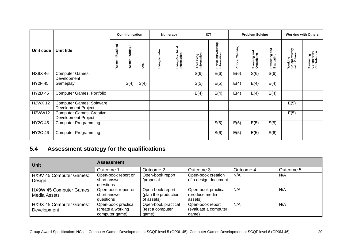|                |                                                               |                      | Communication        |             |              | Numeracy                                |                          | <b>ICT</b>                        |                      | <b>Problem Solving</b>           |                                  |                                          | <b>Working with Others</b>                |
|----------------|---------------------------------------------------------------|----------------------|----------------------|-------------|--------------|-----------------------------------------|--------------------------|-----------------------------------|----------------------|----------------------------------|----------------------------------|------------------------------------------|-------------------------------------------|
| Unit code      | Unit title                                                    | (Reading)<br>Written | (Writing)<br>Written | <b>Oral</b> | Using Number | Graphical<br>Using Graph<br>Information | Accessing<br>Information | Providing/Creating<br>Information | Thinking<br>Critical | and<br>Planning an<br>Organising | and<br>Reviewing a<br>Evaluating | Working<br>Co-operatively<br>with Others | Reviewing<br>Co-operative<br>Contribution |
| <b>HX9X46</b>  | <b>Computer Games:</b><br>Development                         |                      |                      |             |              |                                         | S(6)                     | E(6)                              | E(6)                 | S(6)                             | S(6)                             |                                          |                                           |
| <b>HY2F 45</b> | Gameplay                                                      |                      | S(4)                 | S(4)        |              |                                         | S(5)                     | E(5)                              | E(4)                 | E(4)                             | E(4)                             |                                          |                                           |
| <b>HY2D 45</b> | <b>Computer Games: Portfolio</b>                              |                      |                      |             |              |                                         | E(4)                     | E(4)                              | E(4)                 | E(4)                             | E(4)                             |                                          |                                           |
| <b>H2WX 12</b> | <b>Computer Games: Software</b><br><b>Development Project</b> |                      |                      |             |              |                                         |                          |                                   |                      |                                  |                                  | E(5)                                     |                                           |
| <b>H2WW12</b>  | <b>Computer Games: Creative</b><br><b>Development Project</b> |                      |                      |             |              |                                         |                          |                                   |                      |                                  |                                  | E(5)                                     |                                           |
| <b>HY2C 45</b> | <b>Computer Programming</b>                                   |                      |                      |             |              |                                         |                          | S(5)                              | E(5)                 | E(5)                             | S(5)                             |                                          |                                           |
| <b>HY2C 46</b> | <b>Computer Programming</b>                                   |                      |                      |             |              |                                         |                          | S(6)                              | E(5)                 | E(5)                             | S(6)                             |                                          |                                           |

## **5.4 Assessment strategy for the qualifications**

<span id="page-21-0"></span>

| Unit                                    | <b>Assessment</b>                                          |                                                        |                                                   |           |           |
|-----------------------------------------|------------------------------------------------------------|--------------------------------------------------------|---------------------------------------------------|-----------|-----------|
|                                         | Outcome 1                                                  | Outcome 2                                              | Outcome 3                                         | Outcome 4 | Outcome 5 |
| HX9V 45 Computer Games:<br>Design       | Open-book report or<br>short answer<br>questions           | Open-book report<br>/proposal                          | Open-book creation<br>of a design document        | N/A       | N/A       |
| HX9W 45 Computer Games:<br>Media Assets | Open-book report or<br>short answer<br>questions           | Open-book report<br>(plan the production<br>of assets) | Open-book practical<br>(produce media<br>assets)  | N/A       | N/A       |
| HX9X 45 Computer Games:<br>Development  | Open-book practical<br>(create a working<br>computer game) | Open-book practical<br>(test a computer<br>qame)       | Open-book report<br>(evaluate a computer<br>qame) | N/A       | N/A       |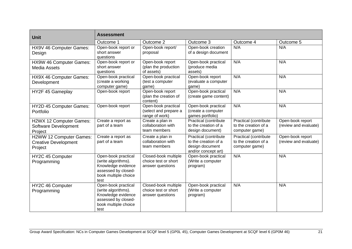| <b>Unit</b>                                                       | <b>Assessment</b>                                                                                                       |                                                                  |                                                                                         |                                                                 |                                           |  |
|-------------------------------------------------------------------|-------------------------------------------------------------------------------------------------------------------------|------------------------------------------------------------------|-----------------------------------------------------------------------------------------|-----------------------------------------------------------------|-------------------------------------------|--|
|                                                                   | Outcome 1                                                                                                               | Outcome 2                                                        | Outcome 3                                                                               | Outcome 4                                                       | Outcome 5                                 |  |
| HX9V 46 Computer Games:<br>Design                                 | Open-book report or<br>short answer<br>questions                                                                        | Open-book report/<br>proposal                                    | Open-book creation<br>of a design document                                              | N/A                                                             | N/A                                       |  |
| HX9W 46 Computer Games:<br><b>Media Assets</b>                    | Open-book report or<br>short answer<br>questions                                                                        | Open-book report<br>(plan the production<br>of assets)           | Open-book practical<br>(produce media<br>assets)                                        | N/A                                                             | N/A                                       |  |
| HX9X 46 Computer Games:<br>Development                            | Open-book practical<br>(create a working<br>computer game)                                                              | Open-book practical<br>(test a computer<br>game)                 | Open-book report<br>(evaluate a computer<br>game)                                       | N/A                                                             | N/A                                       |  |
| HY2F 45 Gameplay                                                  | Open-book report                                                                                                        | Open-book report<br>(plan the creation of<br>content)            | Open-book practical<br>(create game content)                                            | N/A                                                             | N/A                                       |  |
| HY2D 45 Computer Games:<br>Portfolio                              | Open-book report                                                                                                        | Open-book practical<br>(select and prepare a<br>range of work)   | Open-book practical<br>(create a computer<br>games portfolio)                           | N/A                                                             | N/A                                       |  |
| H2WX 12 Computer Games:<br>Software Development<br>Project        | Create a report as<br>part of a team                                                                                    | Create a plan in<br>collaboration with<br>team members           | Practical (contribute<br>to the creation of a<br>design document)                       | Practical (contribute<br>to the creation of a<br>computer game) | Open-book report<br>(review and evaluate) |  |
| H2WW 12 Computer Games:<br><b>Creative Development</b><br>Project | Create a report as<br>part of a team                                                                                    | Create a plan in<br>collaboration with<br>team members           | Practical (contribute<br>to the creation of a<br>design document<br>and/or concept art) | Practical (contribute<br>to the creation of a<br>computer game) | Open-book report<br>(review and evaluate) |  |
| HY2C 45 Computer<br>Programming                                   | Open-book practical<br>(write algorithms).<br>Knowledge evidence<br>assessed by closed-<br>book multiple choice<br>test | Closed-book multiple<br>choice test or short<br>answer questions | Open-book practical<br>(Write a computer<br>program)                                    | N/A                                                             | N/A                                       |  |
| HY2C 46 Computer<br>Programming                                   | Open-book practical<br>(write algorithms).<br>Knowledge evidence<br>assessed by closed-<br>book multiple choice<br>test | Closed-book multiple<br>choice test or short<br>answer questions | Open-book practical<br>(Write a computer<br>program)                                    | N/A                                                             | N/A                                       |  |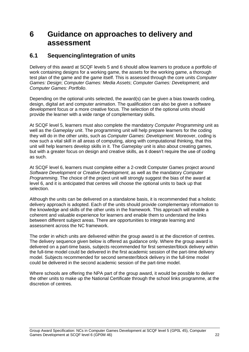## <span id="page-23-0"></span>**6 Guidance on approaches to delivery and assessment**

### <span id="page-23-1"></span>**6.1 Sequencing/integration of units**

Delivery of this award at SCQF levels 5 and 6 should allow learners to produce a portfolio of work containing designs for a working game, the assets for the working game, a thorough test plan of the game and the game itself. This is assessed through the core units *Computer Games: Design*; *Computer Games: Media Assets*; *Computer Games: Dev*elopment; and *Computer Games: Portfolio*.

Depending on the optional units selected, the award(s) can be given a bias towards coding, design, digital art and computer animation. The qualification can also be given a software development focus or a more creative focus. The selection of the optional units should provide the learner with a wide range of complementary skills.

At SCQF level 5, learners must also complete the mandatory *Computer Programming* unit as well as the *Gameplay* unit. The programming unit will help prepare learners for the coding they will do in the other units, such as *Computer Games: Development*. Moreover, coding is now such a vital skill in all areas of computing, along with computational thinking, that this unit will help learners develop skills in it. The *Gameplay* unit is also about creating games, but with a greater focus on design and creative skills, as it doesn't require the use of coding as such.

At SCQF level 6, learners must complete either a 2-credit Computer Games project around *Software Development* or *Creative Development*, as well as the mandatory *Computer Programming*. The choice of the project unit will strongly suggest the bias of the award at level 6, and it is anticipated that centres will choose the optional units to back up that selection.

Although the units can be delivered on a standalone basis, it is recommended that a holistic delivery approach is adopted. Each of the units should provide complementary information to the knowledge and skills of the other units in the framework. This approach will enable a coherent and valuable experience for learners and enable them to understand the links between different subject areas. There are opportunities to integrate learning and assessment across the NC framework.

The order in which units are delivered within the group award is at the discretion of centres. The delivery sequence given below is offered as guidance only. Where the group award is delivered on a part-time basis, subjects recommended for first semester/block delivery within the full-time model could be delivered in the first academic session of the part-time delivery model. Subjects recommended for second semester/block delivery in the full-time model could be delivered in the second academic session of the part-time model.

Where schools are offering the NPA part of the group award, it would be possible to deliver the other units to make up the National Certificate through the school links programme, at the discretion of centres.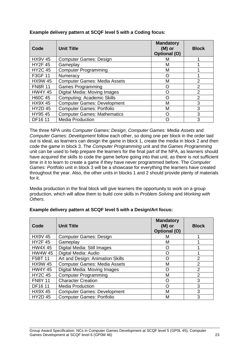| Code           | <b>Unit Title</b>                   | <b>Mandatory</b><br>$(M)$ or<br>Optional (O) | <b>Block</b>   |
|----------------|-------------------------------------|----------------------------------------------|----------------|
| <b>HX9V 45</b> | <b>Computer Games: Design</b>       | м                                            |                |
| <b>HY2F45</b>  | Gameplay                            | M                                            |                |
| <b>HY2C 45</b> | <b>Computer Programming</b>         | M                                            |                |
| F3GF 11        | Numeracy                            | O                                            |                |
| <b>HX9W 45</b> | <b>Computer Games: Media Assets</b> | М                                            | 2              |
| <b>FN8R 11</b> | <b>Games Programming</b>            | ∩                                            | $\overline{2}$ |
| <b>HW4Y 45</b> | Digital Media: Moving Images        | ∩                                            | $\mathcal{P}$  |
| <b>H60C 45</b> | <b>Computing: Academic Skills</b>   | റ                                            | $\overline{2}$ |
| <b>HX9X45</b>  | <b>Computer Games: Development</b>  | М                                            | 3              |
| <b>HY2D 45</b> | <b>Computer Games: Portfolio</b>    | M                                            | 3              |
| HY9545         | <b>Computer Games: Mathematics</b>  | ∩                                            | 3              |
| DF16 11        | <b>Media Production</b>             | $\Box$                                       | 3              |

#### **Example delivery pattern at SCQF level 5 with a Coding focus:**

The three NPA units *Computer Games: Design*; *Computer Games: Media Assets* and *Computer Games: Development* follow each other, so doing one per block in the order laid out is ideal, as learners can design the game in block 1, create the media in block 2 and then code the game in block 3. The *Computer Programming* unit and the *Games Programming* unit can be used to help prepare the learners for the final part of the NPA, as learners should have acquired the skills to code the game before going into that unit, as there is not sufficient time in it to learn to create a game if they have never programmed before. The *Computer Games: Portfolio* unit in block 3 will be a showcase for everything the learners have created throughout the year. Also, the other units in blocks 1 and 2 should provide plenty of materials for it.

Media production in the final block will give learners the opportunity to work on a group production, which will allow them to build core skills in *Problem Solving* and *Working with Others*.

| Code           | <b>Unit Title</b>                   | <b>Mandatory</b><br>$(M)$ or<br>Optional (O) | <b>Block</b>   |
|----------------|-------------------------------------|----------------------------------------------|----------------|
| <b>HX9V 45</b> | <b>Computer Games: Design</b>       | M                                            |                |
| <b>HY2F45</b>  | Gameplay                            | М                                            |                |
| <b>HW4X 45</b> | Digital Media: Still Images         | Ő                                            |                |
| <b>HW4W 45</b> | Digital Media: Audio                | O                                            |                |
| F5BT 11        | Art and Design: Animation Skills    | O                                            | 2              |
| <b>HX9W 45</b> | <b>Computer Games: Media Assets</b> | M                                            | $\overline{2}$ |
| <b>HW4Y 45</b> | Digital Media: Moving Images        | O                                            | $\overline{2}$ |
| <b>HY2C 45</b> | <b>Computer Programming</b>         | M                                            | $\overline{2}$ |
| <b>FN8Y 11</b> | <b>Character Creation</b>           | O                                            | 3              |
| DF16 11        | <b>Media Production</b>             | O                                            | 3              |
| <b>HX9X45</b>  | <b>Computer Games: Development</b>  | M                                            | 3              |
| <b>HY2D 45</b> | <b>Computer Games: Portfolio</b>    | M                                            | 3              |

#### **Example delivery pattern at SCQF level 5 with a Design/Art focus:**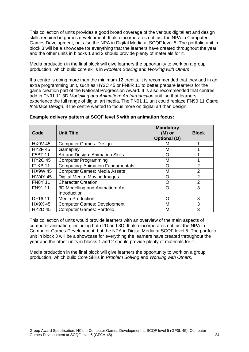This collection of units provides a good broad coverage of the various digital art and design skills required in games development. It also incorporates not just the NPA in Computer Games Development, but also the NPA in Digital Media at SCQF level 5. The portfolio unit in block 3 will be a showcase for everything that the learners have created throughout the year and the other units in blocks 1 and 2 should provide plenty of materials for it.

Media production in the final block will give learners the opportunity to work on a group production, which build core skills in *Problem Solving* and *Working with Others*.

If a centre is doing more than the minimum 12 credits, it is recommended that they add in an extra programming unit, such as HY2C 45 or FN8R 11 to better prepare learners for the game creation part of the National Progression Award. It is also recommended that centres add in FN91 11 3D *Modelling and Animation: An Introduction* unit, so that learners experience the full range of digital art media. The FN91 11 unit could replace FN90 11 *Game Interface Design*, if the centre wanted to focus more on digital art than design.

| Code           | <b>Unit Title</b>                        | <b>Mandatory</b><br>$(M)$ or<br><b>Optional (O)</b> | <b>Block</b>   |
|----------------|------------------------------------------|-----------------------------------------------------|----------------|
| <b>HX9V 45</b> | <b>Computer Games: Design</b>            | м                                                   |                |
| <b>HY2F45</b>  | Gameplay                                 | М                                                   |                |
| F5BT 11        | Art and Design: Animation Skills         | O                                                   |                |
| <b>HY2C 45</b> | <b>Computer Programming</b>              | M                                                   |                |
| <b>F1KB 11</b> | <b>Computing: Animation Fundamentals</b> | Ω                                                   | 2              |
| <b>HX9W 45</b> | <b>Computer Games: Media Assets</b>      | М                                                   | 2              |
| <b>HW4Y 45</b> | Digital Media: Moving Images             | O                                                   | $\mathfrak{p}$ |
| <b>FN8Y 11</b> | <b>Character Creation</b>                | ∩                                                   | $\mathfrak{p}$ |
| FN91 11        | 3D Modelling and Animation: An           | ∩                                                   | 3              |
|                | Introduction                             |                                                     |                |
| DF16 11        | <b>Media Production</b>                  | റ                                                   | 3              |
| <b>HX9X45</b>  | <b>Computer Games: Development</b>       | М                                                   | 3              |
| <b>HY2D45</b>  | <b>Computer Games: Portfolio</b>         | М                                                   | 3              |

#### **Example delivery pattern at SCQF level 5 with an animation focus:**

This collection of units would provide learners with an overview of the main aspects of computer animation, including both 2D and 3D. It also incorporates not just the NPA in Computer Games Development, but the NPA in Digital Media at SCQF level 5. The portfolio unit in block 3 will be a showcase for everything the learners have created throughout the year and the other units in blocks 1 and 2 should provide plenty of materials for it.

Media production in the final block will give learners the opportunity to work on a group production, which build Core Skills in *Problem Solving* and *Working with Others*.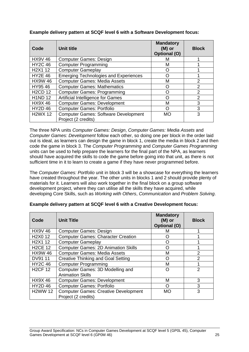| Code                                         | Unit title                                                         | <b>Mandatory</b><br>$(M)$ or<br>Optional (O) | <b>Block</b>   |
|----------------------------------------------|--------------------------------------------------------------------|----------------------------------------------|----------------|
| <b>HX9V 46</b>                               | <b>Computer Games: Design</b>                                      | м                                            |                |
| <b>HY2C 46</b>                               | <b>Computer Programming</b>                                        | M                                            |                |
| H <sub>2</sub> X <sub>1</sub> 1 <sub>2</sub> | <b>Computer Gameplay</b>                                           | ( )                                          |                |
| <b>HY2E 46</b>                               | <b>Emerging Technologies and Experiences</b>                       | O                                            |                |
| <b>HX9W 46</b>                               | <b>Computer Games: Media Assets</b>                                | М                                            | 2              |
| HY9546                                       | <b>Computer Games: Mathematics</b>                                 | Ω                                            | 2              |
| <b>H2CD 12</b>                               | <b>Computer Games: Programming</b>                                 | ∩                                            | 2              |
| <b>H1ND 12</b>                               | <b>Artificial Intelligence for Games</b>                           | റ                                            | $\overline{2}$ |
| <b>HX9X46</b>                                | <b>Computer Games: Development</b>                                 | М                                            | 3              |
| <b>HY2D46</b>                                | <b>Computer Games: Portfolio</b>                                   | Ω                                            | 3              |
| <b>H2WX 12</b>                               | <b>Computer Games: Software Development</b><br>Project (2 credits) | <b>MO</b>                                    | 3              |

#### **Example delivery pattern at SCQF level 6 with a Software Development focus:**

The three NPA units *Computer Games: Design*, *Computer Games: Media Assets* and *Computer Games: Development* follow each other, so doing one per block in the order laid out is ideal, as learners can design the game in block 1, create the media in block 2 and then code the game in block 3. The *Computer Programming* and *Computer Games Programming* units can be used to help prepare the learners for the final part of the NPA, as learners should have acquired the skills to code the game before going into that unit, as there is not sufficient time in it to learn to create a game if they have never programmed before.

The *Computer Games: Portfolio* unit in block 3 will be a showcase for everything the learners have created throughout the year. The other units in blocks 1 and 2 should provide plenty of materials for it. Learners will also work together in the final block on a group software development project, where they can utilise all the skills they have acquired, while developing Core Skills, such as *Working with Others*, *Communication* and *Problem Solving*.

| Code                                         | <b>Unit Title</b>                                                  | <b>Mandatory</b><br>$(M)$ or<br>Optional (O) | <b>Block</b>   |
|----------------------------------------------|--------------------------------------------------------------------|----------------------------------------------|----------------|
| <b>HX9V 46</b>                               | <b>Computer Games: Design</b>                                      | м                                            |                |
| H <sub>2</sub> X <sub>0</sub> 1 <sub>2</sub> | <b>Computer Games: Character Creation</b>                          | ( )                                          |                |
| H <sub>2</sub> X <sub>1</sub> 1 <sub>2</sub> | <b>Computer Gameplay</b>                                           | O                                            |                |
| <b>H2CE 12</b>                               | <b>Computer Games: 2D Animation Skills</b>                         | O                                            |                |
| <b>HX9W 46</b>                               | <b>Computer Games: Media Assets</b>                                | M                                            | 2              |
| DV91 11                                      | <b>Creative Thinking and Goal Setting</b>                          | O                                            | $\mathfrak{p}$ |
| <b>HY2C 46</b>                               | <b>Computer Programming</b>                                        | М                                            |                |
| <b>H2CF 12</b>                               | Computer Games: 3D Modelling and<br><b>Animation Skills</b>        | O                                            | $\overline{2}$ |
| <b>HX9X46</b>                                | <b>Computer Games: Development</b>                                 | М                                            | 3              |
| <b>HY2D46</b>                                | <b>Computer Games: Portfolio</b>                                   | O                                            | 3              |
| <b>H2WW 12</b>                               | <b>Computer Games: Creative Development</b><br>Project (2 credits) | <b>MO</b>                                    | 3              |

#### **Example delivery pattern at SCQF level 6 with a Creative Development focus:**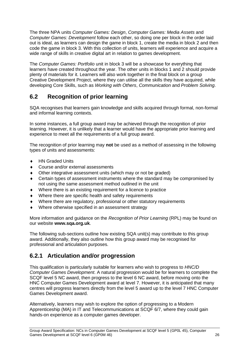The three NPA units *Computer Games: Design*, *Computer Games: Media Assets* and *Computer Games: Development* follow each other, so doing one per block in the order laid out is ideal, as learners can design the game in block 1, create the media in block 2 and then code the game in block 3. With this collection of units, learners will experience and acquire a wide range of skills in creative digital art in relation to games development.

The *Computer Games: Portfolio* unit in block 3 will be a showcase for everything that learners have created throughout the year. The other units in blocks 1 and 2 should provide plenty of materials for it. Learners will also work together in the final block on a group Creative Development Project, where they can utilise all the skills they have acquired, while developing Core Skills, such as *Working with Others*, *Communication* and *Problem Solving*.

## <span id="page-27-0"></span>**6.2 Recognition of prior learning**

SQA recognises that learners gain knowledge and skills acquired through formal, non-formal and informal learning contexts.

In some instances, a full group award may be achieved through the recognition of prior learning. However, it is unlikely that a learner would have the appropriate prior learning and experience to meet all the requirements of a full group award.

The recognition of prior learning may **not** be used as a method of assessing in the following types of units and assessments:

- ◆ HN Graded Units
- Course and/or external assessments
- Other integrative assessment units (which may or not be graded)
- Certain types of assessment instruments where the standard may be compromised by not using the same assessment method outlined in the unit
- Where there is an existing requirement for a licence to practice
- Where there are specific health and safety requirements
- Where there are regulatory, professional or other statutory requirements
- Where otherwise specified in an assessment strategy

More information and guidance on the *Recognition of Prior Learning* (RPL) may be found on our website **[www.sqa.org.uk](http://www.sqa.org.uk/)**.

The following sub-sections outline how existing SQA unit(s) may contribute to this group award. Additionally, they also outline how this group award may be recognised for professional and articulation purposes.

## **6.2.1 Articulation and/or progression**

This qualification is particularly suitable for learners who wish to progress to *HNC/D Computer Games Development*. A natural progression would be for learners to complete the SCQF level 5 NC award, then progress to the level 6 NC award, before moving onto the HNC Computer Games Development award at level 7. However, it is anticipated that many centres will progress learners directly from the level 5 award up to the level 7 HNC Computer Games Development award.

Alternatively, learners may wish to explore the option of progressing to a Modern Apprenticeship (MA) in IT and Telecommunications at SCQF 6/7, where they could gain hands-on experience as a computer games developer.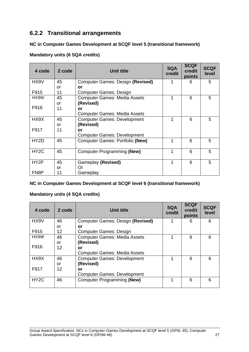## **6.2.2 Transitional arrangements**

#### **NC in Computer Games Development at SCQF level 5 (transitional framework)**

#### **Mandatory units (6 SQA credits)**

| 4 code            | 2 code | <b>Unit title</b>                      | <b>SQA</b><br>credit | <b>SCQF</b><br>credit<br>points | <b>SCQF</b><br>level |
|-------------------|--------|----------------------------------------|----------------------|---------------------------------|----------------------|
| HX9V              | 45     | Computer Games: Design (Revised)       | 1                    | 6                               | 5                    |
|                   | or     | or                                     |                      |                                 |                      |
| F915              | 11     | <b>Computer Games: Design</b>          |                      |                                 |                      |
| HX9W              | 45     | <b>Computer Games: Media Assets</b>    | 1                    | 6                               | 5                    |
|                   | or     | (Revised)                              |                      |                                 |                      |
| F916              | 11     | or                                     |                      |                                 |                      |
|                   |        | <b>Computer Games: Media Assets</b>    |                      |                                 |                      |
| HX9X              | 45     | <b>Computer Games: Development</b>     | 1                    | 6                               | 5                    |
|                   | or     | (Revised)                              |                      |                                 |                      |
| F917              | 11     | or                                     |                      |                                 |                      |
|                   |        | <b>Computer Games: Development</b>     |                      |                                 |                      |
| HY <sub>2</sub> D | 45     | <b>Computer Games: Portfolio (New)</b> | 1                    | 6                               | 5                    |
|                   |        |                                        |                      |                                 |                      |
| HY <sub>2</sub> C | 45     | Computer Programming (New)             | 1                    | 6                               | 5                    |
|                   |        |                                        |                      |                                 |                      |
| HY2F              | 45     | Gameplay (Revised)                     | 1                    | 6                               | 5                    |
|                   | or     | Or                                     |                      |                                 |                      |
| FN <sub>8</sub> P | 11     | Gameplay                               |                      |                                 |                      |

#### **NC in Computer Games Development at SCQF level 6 (transitional framework)**

#### **Mandatory units (4 SQA credits)**

| 4 code            | 2 code | <b>Unit title</b>                   | <b>SQA</b><br>credit | <b>SCQF</b><br>credit<br>points | <b>SCQF</b><br>level |
|-------------------|--------|-------------------------------------|----------------------|---------------------------------|----------------------|
| HX9V              | 46     | Computer Games: Design (Revised)    | 1                    | 6                               | 6                    |
|                   | or     | or                                  |                      |                                 |                      |
| F915              | 12     | <b>Computer Games: Design</b>       |                      |                                 |                      |
| HX9W              | 46     | <b>Computer Games: Media Assets</b> |                      | 6                               | 6                    |
|                   | or     | (Revised)                           |                      |                                 |                      |
| F916              | 12     | or                                  |                      |                                 |                      |
|                   |        | <b>Computer Games: Media Assets</b> |                      |                                 |                      |
| HX9X              | 46     | <b>Computer Games: Development</b>  |                      | 6                               | 6                    |
|                   | or     | (Revised)                           |                      |                                 |                      |
| F917              | 12     | or                                  |                      |                                 |                      |
|                   |        | <b>Computer Games: Development</b>  |                      |                                 |                      |
| HY <sub>2</sub> C | 46     | <b>Computer Programming (New)</b>   |                      | 6                               | 6                    |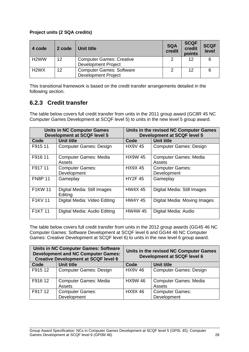#### **Project units (2 SQA credits)**

| 4 code                        | 2 code            | Unit title                      | <b>SQA</b><br>credit | <b>SCQF</b><br>credit<br>points | <b>SCQF</b><br>level |
|-------------------------------|-------------------|---------------------------------|----------------------|---------------------------------|----------------------|
| H <sub>2</sub> WW             | $12 \overline{ }$ | <b>Computer Games: Creative</b> |                      | 12                              |                      |
|                               |                   | <b>Development Project</b>      |                      |                                 |                      |
| H <sub>2</sub> W <sub>X</sub> | 12                | <b>Computer Games: Software</b> | 2                    | 12                              | 6                    |
|                               |                   | <b>Development Project</b>      |                      |                                 |                      |

This transitional framework is based on the credit transfer arrangements detailed in the following section.

## **6.2.3 Credit transfer**

The table below covers full credit transfer from units in the 2011 group award (GC8R 45 NC Computer Games Development at SCQF level 5) to units in the new level 5 group award.

|                | <b>Units in NC Computer Games</b><br><b>Development at SCQF level 5</b> | Units in the revised NC Computer Games<br><b>Development at SCQF level 5</b> |                                        |  |
|----------------|-------------------------------------------------------------------------|------------------------------------------------------------------------------|----------------------------------------|--|
| Code           | Unit title                                                              | Code                                                                         | Unit title                             |  |
| F915 11        | <b>Computer Games: Design</b>                                           | <b>HX9V45</b>                                                                | <b>Computer Games: Design</b>          |  |
| F916 11        | <b>Computer Games: Media</b><br>Assets                                  | <b>HX9W 45</b>                                                               | <b>Computer Games: Media</b><br>Assets |  |
| F917 11        | <b>Computer Games:</b>                                                  | <b>HX9X45</b>                                                                | <b>Computer Games:</b>                 |  |
|                | Development                                                             |                                                                              | Development                            |  |
| <b>FN8P 11</b> | Gameplay                                                                | <b>HY2F45</b>                                                                | Gameplay                               |  |
| <b>F1KW11</b>  | Digital Media: Still Images<br>Editing                                  | <b>HW4X45</b>                                                                | Digital Media: Still Images            |  |
| <b>F1KV11</b>  | Digital Media: Video Editing                                            | <b>HW4Y 45</b>                                                               | Digital Media: Moving Images           |  |
| <b>F1KT11</b>  | Digital Media: Audio Editing                                            | <b>HW4W 45</b>                                                               | Digital Media: Audio                   |  |

The table below covers full credit transfer from units in the 2012 group awards (GG45 46 NC Computer Games: Software Development at SCQF level 6 and GG44 46 NC Computer Games: Creative Development at SCQF level 6) to units in the new level 6 group award.

|         | <b>Units in NC Computer Games: Software</b><br><b>Development and NC Computer Games:</b><br><b>Creative Development at SCQF level 6</b> |                | Units in the revised NC Computer Games<br><b>Development at SCQF level 6</b> |  |  |
|---------|-----------------------------------------------------------------------------------------------------------------------------------------|----------------|------------------------------------------------------------------------------|--|--|
| Code    | <b>Unit title</b>                                                                                                                       | Code           | <b>Unit title</b>                                                            |  |  |
| F915 12 | <b>Computer Games: Design</b>                                                                                                           | <b>HX9V 46</b> | <b>Computer Games: Design</b>                                                |  |  |
| F916 12 | <b>Computer Games: Media</b><br>Assets                                                                                                  | <b>HX9W 46</b> | <b>Computer Games: Media</b><br>Assets                                       |  |  |
| F917 12 | <b>Computer Games:</b><br>Development                                                                                                   | <b>HX9X46</b>  | <b>Computer Games:</b><br>Development                                        |  |  |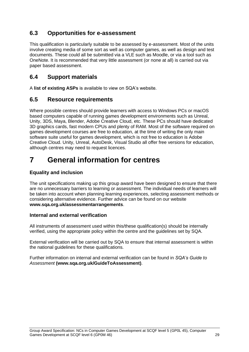## <span id="page-30-0"></span>**6.3 Opportunities for e-assessment**

This qualification is particularly suitable to be assessed by e-assessment. Most of the units involve creating media of some sort as well as computer games, as well as design and test documents. These could all be submitted via a VLE such as Moodle, or via a tool such as OneNote. It is recommended that very little assessment (or none at all) is carried out via paper based assessment.

## <span id="page-30-1"></span>**6.4 Support materials**

A **[list of existing ASPs](http://www.sqa.org.uk/sqa/46233.2769.html)** is available to view on SQA's website.

### <span id="page-30-2"></span>**6.5 Resource requirements**

Where possible centres should provide learners with access to Windows PCs or macOS based computers capable of running games development environments such as Unreal, Unity, 3DS, Maya, Blender, Adobe Creative Cloud, etc. These PCs should have dedicated 3D graphics cards, fast modern CPUs and plenty of RAM. Most of the software required on games development courses are free to education, at the time of writing the only main software suite useful for games development, which is not free to education is Adobe Creative Cloud. Unity, Unreal, AutoDesk, Visual Studio all offer free versions for education, although centres may need to request licences.

# <span id="page-30-3"></span>**7 General information for centres**

#### **Equality and inclusion**

The unit specifications making up this group award have been designed to ensure that there are no unnecessary barriers to learning or assessment. The individual needs of learners will be taken into account when planning learning experiences, selecting assessment methods or considering alternative evidence. Further advice can be found on our website **[www.sqa.org.uk/assessmentarrangements](http://www.sqa.org.uk/sqa/14977.html)**.

#### **Internal and external verification**

All instruments of assessment used within this/these qualification(s) should be internally verified, using the appropriate policy within the centre and the guidelines set by SQA.

External verification will be carried out by SQA to ensure that internal assessment is within the national guidelines for these qualifications.

Further information on internal and external verification can be found in *SQA's Guide to Assessment* **[\(www.sqa.org.uk/GuideToAssessment\)](http://www.sqa.org.uk/sqa/files_ccc/GuideToAssessment.pdf)**.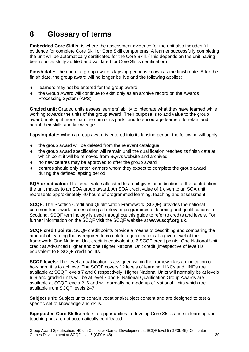# <span id="page-31-0"></span>**8 Glossary of terms**

**Embedded Core Skills:** is where the assessment evidence for the unit also includes full evidence for complete Core Skill or Core Skill components. A learner successfully completing the unit will be automatically certificated for the Core Skill. (This depends on the unit having been successfully audited and validated for Core Skills certification)

**Finish date:** The end of a group award's lapsing period is known as the finish date. After the finish date, the group award will no longer be live and the following applies:

- learners may not be entered for the group award
- the Group Award will continue to exist only as an archive record on the Awards Processing System (APS)

**Graded unit:** Graded units assess learners' ability to integrate what they have learned while working towards the units of the group award. Their purpose is to add value to the group award, making it more than the sum of its parts, and to encourage learners to retain and adapt their skills and knowledge.

**Lapsing date:** When a group award is entered into its lapsing period, the following will apply:

- the group award will be deleted from the relevant catalogue
- the group award specification will remain until the qualification reaches its finish date at which point it will be removed from SQA's website and archived
- no new centres may be approved to offer the group award
- centres should only enter learners whom they expect to complete the group award during the defined lapsing period

**SQA credit value:** The credit value allocated to a unit gives an indication of the contribution the unit makes to an SQA group award. An SQA credit value of 1 given to an SQA unit represents approximately 40 hours of programmed learning, teaching and assessment.

**SCQF:** The Scottish Credit and Qualification Framework (SCQF) provides the national common framework for describing all relevant programmes of learning and qualifications in Scotland. SCQF terminology is used throughout this guide to refer to credits and levels. For further information on the SCQF visit the SCQF website at **[www.scqf.org.uk](http://www.scqf.org.uk/)**.

**SCQF credit points:** SCQF credit points provide a means of describing and comparing the amount of learning that is required to complete a qualification at a given level of the framework. One National Unit credit is equivalent to 6 SCQF credit points. One National Unit credit at Advanced Higher and one Higher National Unit credit (irrespective of level) is equivalent to 8 SCQF credit points.

**SCQF levels:** The level a qualification is assigned within the framework is an indication of how hard it is to achieve. The SCQF covers 12 levels of learning. HNCs and HNDs are available at SCQF levels 7 and 8 respectively. Higher National Units will normally be at levels 6–9 and graded units will be at level 7 and 8. National Qualification Group Awards are available at SCQF levels 2–6 and will normally be made up of National Units which are available from SCQF levels 2–7.

**Subject unit:** Subject units contain vocational/subject content and are designed to test a specific set of knowledge and skills.

**Signposted Core Skills:** refers to opportunities to develop Core Skills arise in learning and teaching but are not automatically certificated.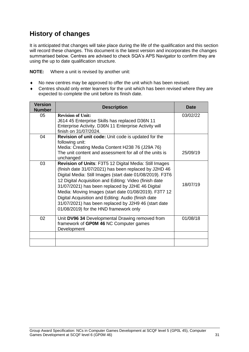## **History of changes**

It is anticipated that changes will take place during the life of the qualification and this section will record these changes. This document is the latest version and incorporates the changes summarised below. Centres are advised to check SQA's APS Navigator to confirm they are using the up to date qualification structure.

**NOTE:** Where a unit is revised by another unit:

- No new centres may be approved to offer the unit which has been revised.
- Centres should only enter learners for the unit which has been revised where they are expected to complete the unit before its finish date.

| <b>Version</b><br><b>Number</b> | <b>Description</b>                                                                                                                                                                                                                                                                                                                                                                                                                                                                                           | <b>Date</b> |
|---------------------------------|--------------------------------------------------------------------------------------------------------------------------------------------------------------------------------------------------------------------------------------------------------------------------------------------------------------------------------------------------------------------------------------------------------------------------------------------------------------------------------------------------------------|-------------|
| 05                              | <b>Revision of Unit:</b><br>J614 45 Enterprise Skills has replaced D36N 11<br>Enterprise Activity. D36N 11 Enterprise Activity will<br>finish on 31/07/2024.                                                                                                                                                                                                                                                                                                                                                 | 03/02/22    |
| 04                              | Revision of unit code: Unit code is updated for the<br>following unit:<br>Media: Creating Media Content H238 76 (J29A 76)<br>The unit content and assessment for all of the units is<br>unchanged                                                                                                                                                                                                                                                                                                            | 25/09/19    |
| 03                              | Revision of Units: F3T5 12 Digital Media: Still Images<br>(finish date 31/07/2021) has been replaced by J2HD 46<br>Digital Media: Still Images (start date 01/08/2019). F3T6<br>12 Digital Acquisition and Editing: Video (finish date<br>31/07/2021) has been replaced by J2HE 46 Digital<br>Media: Moving Images (start date 01/08/2019). F3T7 12<br>Digital Acquisition and Editing: Audio (finish date<br>31/07/2021) has been replaced by J2H9 46 (start date<br>01/08/2019) for the HND framework only | 18/07/19    |
| 02                              | Unit DV96 34 Developmental Drawing removed from<br>framework of GP0M 46 NC Computer games<br>Development                                                                                                                                                                                                                                                                                                                                                                                                     | 01/08/18    |
|                                 |                                                                                                                                                                                                                                                                                                                                                                                                                                                                                                              |             |
|                                 |                                                                                                                                                                                                                                                                                                                                                                                                                                                                                                              |             |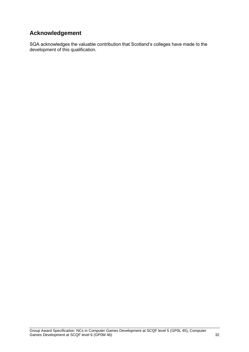## **Acknowledgement**

SQA acknowledges the valuable contribution that Scotland's colleges have made to the development of this qualification.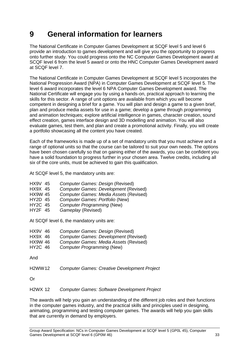# <span id="page-34-0"></span>**9 General information for learners**

The National Certificate in Computer Games Development at SCQF level 5 and level 6 provide an introduction to games development and will give you the opportunity to progress onto further study. You could progress onto the NC Computer Games Development award at SCQF level 6 from the level 5 award or onto the HNC Computer Games Development award at SCQF level 7.

The National Certificate in Computer Games Development at SCQF level 5 incorporates the National Progression Award (NPA) in Computer Games Development at SCQF level 5. The level 6 award incorporates the level 6 NPA Computer Games Development award. The National Certificate will engage you by using a hands-on, practical approach to learning the skills for this sector. A range of unit options are available from which you will become competent in designing a brief for a game. You will plan and design a game to a given brief, plan and produce media assets for use in a game; develop a game through programming and animation techniques; explore artificial intelligence in games, character creation, sound effect creation, games interface design and 3D modelling and animation. You will also evaluate games, test them, and plan and create a promotional activity. Finally, you will create a portfolio showcasing all the content you have created.

Each of the frameworks is made up of a set of mandatory units that you must achieve and a range of optional units so that the course can be tailored to suit your own needs. The options have been chosen carefully so that on gaining either of the awards, you can be confident you have a solid foundation to progress further in your chosen area. Twelve credits, including all six of the core units, must be achieved to gain this qualification.

At SCQF level 5, the mandatory units are:

- HX9V 45 *Computer Games: Design* (Revised)
- HX9X 45 *Computer Games: Development* (Revised)
- HX9W 45 *Computer Games: Media Assets* (Revised)
- HY2D 45 *Computer Games: Portfolio* (New)
- **Computer Programming (New)**
- HY2F 45 *Gameplay* (Revised)

At SCQF level 6, the mandatory units are:

- HX9V 46 *Computer Games: Design* (Revised)
- **Computer Games: Development (Revised)**
- HX9W 46 *Computer Games: Media Assets* (Revised)
- **Computer Programming (New)**

And

H2WW12 *Computer Games: Creative Development Project*

Or

#### H2WX 12 *Computer Games: Software Development Project*

The awards will help you gain an understanding of the different job roles and their functions in the computer games industry, and the practical skills and principles used in designing, animating, programming and testing computer games. The awards will help you gain skills that are currently in demand by employers.